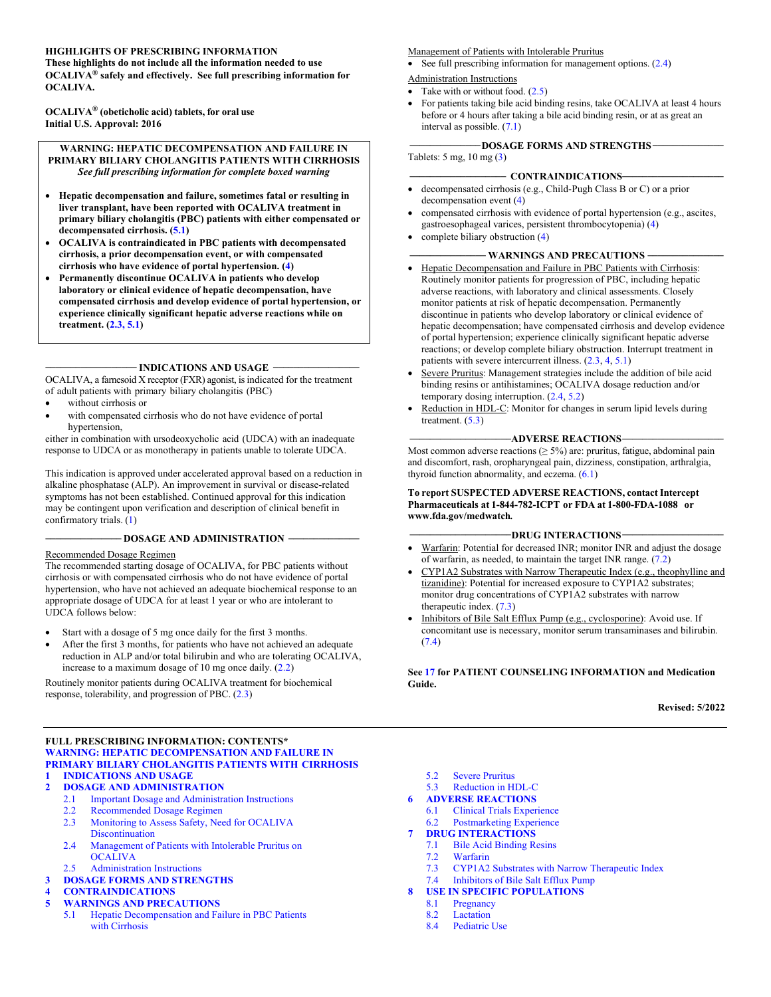#### **HIGHLIGHTS OF PRESCRIBING INFORMATION**

**These highlights do not include all the information needed to use OCALIVA® safely and effectively. See full prescribing information for OCALIVA.**

**OCALIVA® (obeticholic acid) tablets, for oral use Initial U.S. Approval: 2016**

**WARNING: HEPATIC DECOMPENSATION AND FAILURE IN PRIMARY BILIARY CHOLANGITIS PATIENTS WITH CIRRHOSIS** *See full prescribing information for complete boxed warning*

- **Hepatic decompensation and failure, sometimes fatal or resulting in liver transplant, have been reported with OCALIVA treatment in primary biliary cholangitis (PBC) patients with either compensated or decompensated cirrhosis. ([5.1\)](#page-4-4)**
- **OCALIVA is contraindicated in PBC patients with decompensated cirrhosis, a prior decompensation event, or with compensated cirrhosis who have evidence of portal hypertension. ([4\)](#page-4-5)**
- **Permanently discontinue OCALIVA in patients who develop laboratory or clinical evidence of hepatic decompensation, have compensated cirrhosis and develop evidence of portal hypertension, or experience clinically significant hepatic adverse reactions while on treatment. [\(2.3](#page-3-3), [5.1](#page-4-4))**

#### **\_\_\_\_\_\_\_\_\_\_\_\_\_\_\_\_\_\_ INDICATIONS AND USAGE \_\_\_\_\_\_\_\_\_\_\_\_\_\_\_\_\_**

OCALIVA, a farnesoid X receptor (FXR) agonist, is indicated for the treatment of adult patients with primary biliary cholangitis (PBC)

- without cirrhosis or
- with compensated cirrhosis who do not have evidence of portal hypertension,

either in combination with ursodeoxycholic acid (UDCA) with an inadequate response to UDCA or as monotherapy in patients unable to tolerate UDCA.

This indication is approved under accelerated approval based on a reduction in alkaline phosphatase (ALP). An improvement in survival or disease-related symptoms has not been established. Continued approval for this indication may be contingent upon verification and description of clinical benefit in confirmatory trials. [\(1](#page-2-4))

#### **\_\_\_\_\_\_\_\_\_\_\_\_\_\_\_ DOSAGE AND ADMINISTRATION \_\_\_\_\_\_\_\_\_\_\_\_\_\_**

#### Recommended Dosage Regimen

The recommended starting dosage of OCALIVA, for PBC patients without cirrhosis or with compensated cirrhosis who do not have evidence of portal hypertension, who have not achieved an adequate biochemical response to an appropriate dosage of UDCA for at least 1 year or who are intolerant to UDCA follows below:

- Start with a dosage of 5 mg once daily for the first 3 months.
- After the first 3 months, for patients who have not achieved an adequate reduction in ALP and/or total bilirubin and who are tolerating OCALIVA, increase to a maximum dosage of 10 mg once daily. ([2.2\)](#page-3-4)

Routinely monitor patients during OCALIVA treatment for biochemical response, tolerability, and progression of PBC. ([2.3\)](#page-3-3)

#### **FULL PRESCRIBING INFORMATION: CONTENTS\* [WARNING: HEPATIC DECOMPENSATION AND FAILURE](#page-2-3) IN PRIMARY BILIARY CHOLANGITIS PATIENTS WITH CIRRHOSIS 1 [INDICATIONS AND USAGE](#page-2-0)**

- **2 [DOSAGE AND ADMINISTRATION](#page-2-1)**
	- 2.1 [Important Dosage and Administration Instructions](#page-2-2)
	-
	- 2.2 [Recommended Dosage Regimen](#page-3-0)<br>2.3 Monitoring to Assess Safety, Nee Monitoring to Assess Safety, Need for OCALIVA
	- Discontinuation 2.4 [Management of Patients with Intolerable Pruritus on](#page-3-2)
	- **OCALIVA**
	- [2.5 Administration Instructions](#page-3-6)
- **3 [DOSAGE FORMS AND STRENGTHS](#page-4-0)**

#### **4 [CONTRAINDICATIONS](#page-4-1)**

- **5 [WARNINGS AND PRECAUTIONS](#page-4-2)**
	- 5.1 [Hepatic Decompensation and Failure in PBC Patients](#page-4-3)  with Cirrhosis

Management of Patients with Intolerable Pruritus

• See full prescribing information for management options.  $(2.4)$  $(2.4)$ Administration Instructions

- Take with or without food.  $(2.5)$  $(2.5)$
- For patients taking bile acid binding resins, take OCALIVA at least 4 hours before or 4 hours after taking a bile acid binding resin, or at as great an interval as possible. ([7.1](#page-8-3))

#### **\_\_\_\_\_\_\_\_\_\_\_\_\_\_DOSAGE FORMS AND STRENGTHS \_\_\_\_\_\_\_\_\_\_\_\_\_\_**

Tablets: 5 mg, 10 mg ([3\)](#page-4-6)

#### **\_\_\_\_\_\_\_\_\_\_\_\_\_\_\_\_\_\_\_ CONTRAINDICATIONS\_\_\_\_\_\_\_\_\_\_\_\_\_\_\_\_\_\_\_\_**

- decompensated cirrhosis (e.g., Child-Pugh Class B or C) or a prior decompensation event ([4\)](#page-4-5)
- compensated cirrhosis with evidence of portal hypertension (e.g., ascites, gastroesophageal varices, persistent thrombocytopenia) ([4\)](#page-4-5)
- complete biliary obstruction ([4\)](#page-4-5)

#### **\_\_\_\_\_\_\_\_\_\_\_\_\_\_\_ WARNINGS AND PRECAUTIONS \_\_\_\_\_\_\_\_\_\_\_\_\_\_\_**

- Hepatic Decompensation and Failure in PBC Patients with Cirrhosis: Routinely monitor patients for progression of PBC, including hepatic adverse reactions, with laboratory and clinical assessments. Closely monitor patients at risk of hepatic decompensation. Permanently discontinue in patients who develop laboratory or clinical evidence of hepatic decompensation; have compensated cirrhosis and develop evidence of portal hypertension; experience clinically significant hepatic adverse reactions; or develop complete biliary obstruction. Interrupt treatment in patients with severe intercurrent illness. ([2.3,](#page-3-3) [4,](#page-4-7) [5.1\)](#page-4-4)
- Severe Pruritus: Management strategies include the addition of bile acid binding resins or antihistamines; OCALIVA dosage reduction and/or temporary dosing interruption. [\(2.4](#page-3-5), [5.2](#page-5-1))
- Reduction in HDL-C: Monitor for changes in serum lipid levels during treatment.  $(5.3)$  $(5.3)$

#### **\_\_\_\_\_\_\_\_\_\_\_\_\_\_\_\_\_\_\_\_ADVERSE REACTIONS\_\_\_\_\_\_\_\_\_\_\_\_\_\_\_\_\_\_\_\_**

Most common adverse reactions ( $\geq$  5%) are: pruritus, fatigue, abdominal pain and discomfort, rash, oropharyngeal pain, dizziness, constipation, arthralgia, thyroid function abnormality, and eczema. [\(6.1](#page-6-4))

#### **To report SUSPECTED ADVERSE REACTIONS, contactIntercept Pharmaceuticals at 1-844-782-ICPT or FDA at 1-800-FDA-1088 or www.fda.gov/medwatch***.*

#### **\_\_\_\_\_\_\_\_\_\_\_\_\_\_\_\_\_\_\_\_DRUG INTERACTIONS\_\_\_\_\_\_\_\_\_\_\_\_\_\_\_\_\_\_\_\_**

- Warfarin: Potential for decreased INR; monitor INR and adjust the dosage of warfarin, as needed, to maintain the target INR range. [\(7.2](#page-9-4))
- CYP1A2 Substrates with Narrow Therapeutic Index (e.g., theophylline and tizanidine): Potential for increased exposure to CYP1A2 substrates; monitor drug concentrations of CYP1A2 substrates with narrow therapeutic index. ([7.3\)](#page-9-5)
- Inhibitors of Bile Salt Efflux Pump (e.g., cyclosporine): Avoid use. If concomitant use is necessary, monitor serum transaminases and bilirubin. [\(7.4](#page-9-6))

**See [17](#page-19-0) for PATIENT COUNSELING INFORMATION and Medication Guide.**

**Revised: 5/2022**

- 5.2 [Severe Pruritus](#page-5-0)
- 5.3 [Reduction in HDL-C](#page-6-0)
- **6 [ADVERSE REACTIONS](#page-6-1)**
	- 6.1 [Clinical Trials Experience](#page-6-2)<br>6.2 Postmarketing Experience
	- [Postmarketing Experience](#page-8-0)
- **7 [DRUG INTERACTIONS](#page-8-1)**
	- 7.1 [Bile Acid Binding Resins](#page-8-2)
	- [Warfarin](#page-9-0)
	- 7.3 [CYP1A2 Substrates with Narrow Therapeutic Index](#page-9-1)
	- 7.4 [Inhibitors of Bile Salt Efflux Pump](#page-9-0)
- **8 [USE IN SPECIFIC POPULATIONS](#page-9-2)**
	- 8.1 [Pregnancy](#page-9-3)
		- 8.2 [Lactation](#page-10-0)<br>8.4 Pediatric
		- [Pediatric Use](#page-10-1)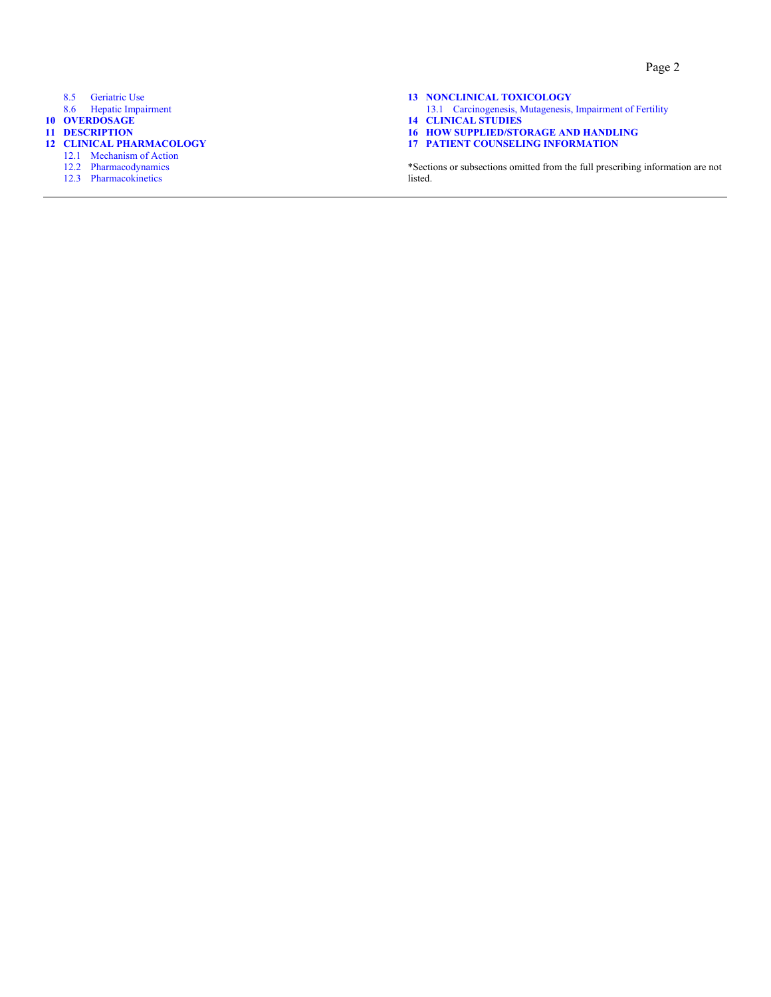- 8.5 [Geriatric Use](#page-10-2)
- 8.6 [Hepatic Impairment](#page-10-3)
- **10 [OVERDOSAGE](#page-11-0)**
- **11 [DESCRIPTION](#page-11-1)**
- **12 [CLINICAL PHARMACOLOGY](#page-12-0)**
- 12.1 [Mechanism of Action](#page-12-1)
	- 12.2 [Pharmacodynamics](#page-12-2)
	- 12.3 [Pharmacokinetics](#page-12-3)
- **13 [NONCLINICAL TOXICOLOGY](#page-15-0)**
- 13.1 [Carcinogenesis, Mutagenesis, Impairment of Fertility](#page-15-1)
- **14 [CLINICAL STUDIES](#page-15-2)**
- **16 [HOW SUPPLIED/STORAGE AND HANDLING](#page-18-0)**
- **17 [PATIENT COUNSELING INFORMATION](#page-19-1)**

\*Sections or subsections omitted from the full prescribing information are not listed.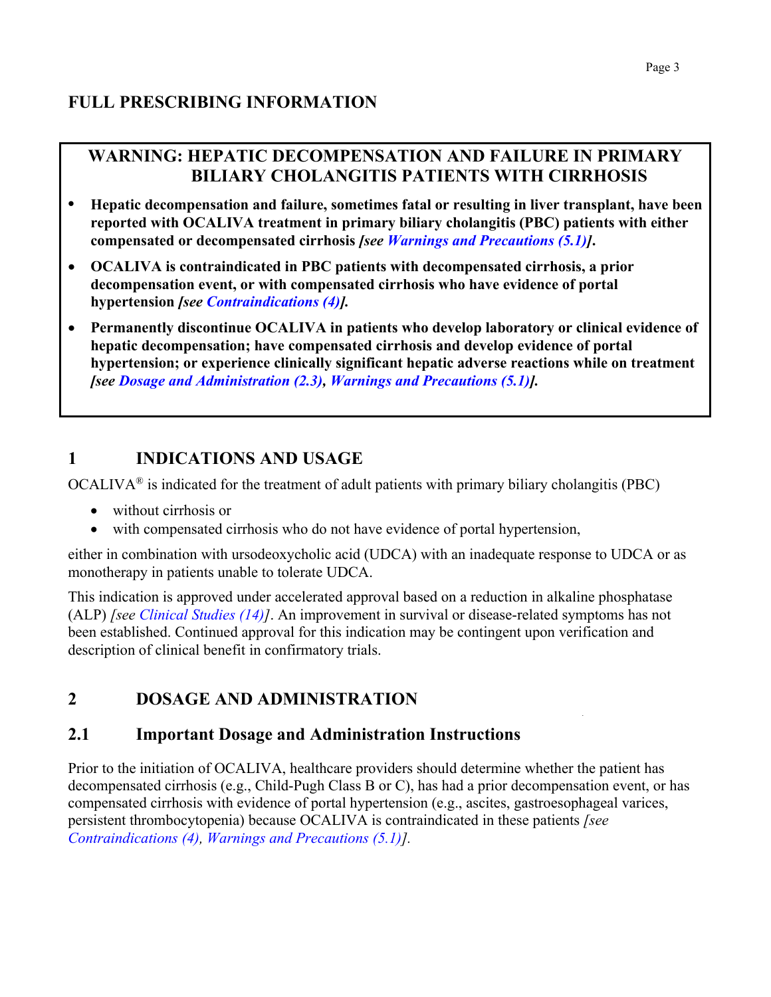## <span id="page-2-3"></span>**WARNING: HEPATIC DECOMPENSATION AND FAILURE IN PRIMARY BILIARY CHOLANGITIS PATIENTS WITH CIRRHOSIS**

- **• Hepatic decompensation and failure, sometimes fatal or resulting in liver transplant, have been reported with OCALIVA treatment in primary biliary cholangitis (PBC) patients with either compensated or decompensated cirrhosis** *[see [Warnings and Precautions \(5.1\)](#page-4-8)]***.**
- **OCALIVA is contraindicated in PBC patients with decompensated cirrhosis, a prior decompensation event, or with compensated cirrhosis who have evidence of portal hypertension** *[see [Contraindications \(4\)\].](#page-4-8)*
- **Permanently discontinue OCALIVA in patients who develop laboratory or clinical evidence of hepatic decompensation; have compensated cirrhosis and develop evidence of portal hypertension; or experience clinically significant hepatic adverse reactions while on treatment** *[see [Dosage and Administration \(2.3](#page-3-7)), [Warnings and Precautions \(5.1](#page-4-8))].*

# <span id="page-2-4"></span><span id="page-2-0"></span>**1 INDICATIONS AND USAGE**

OCALIVA® is indicated for the treatment of adult patients with primary biliary cholangitis (PBC)

- without cirrhosis or
- with compensated cirrhosis who do not have evidence of portal hypertension,

either in combination with ursodeoxycholic acid (UDCA) with an inadequate response to UDCA or as monotherapy in patients unable to tolerate UDCA.

This indication is approved under accelerated approval based on a reduction in alkaline phosphatase (ALP) *[see [Clinical Studies \(14\)](#page-15-3)]*. An improvement in survival or disease-related symptoms has not been established. Continued approval for this indication may be contingent upon verification and description of clinical benefit in confirmatory trials.

# <span id="page-2-1"></span>**2 DOSAGE AND ADMINISTRATION**

## <span id="page-2-2"></span>**2.1 Important Dosage and Administration Instructions**

Prior to the initiation of OCALIVA, healthcare providers should determine whether the patient has decompensated cirrhosis (e.g., Child-Pugh Class B or C), has had a prior decompensation event, or has compensated cirrhosis with evidence of portal hypertension (e.g., ascites, gastroesophageal varices, persistent thrombocytopenia) because OCALIVA is contraindicated in these patients *[see [Contraindications \(4\), Warnings and Precautions \(5.1](#page-4-8))].*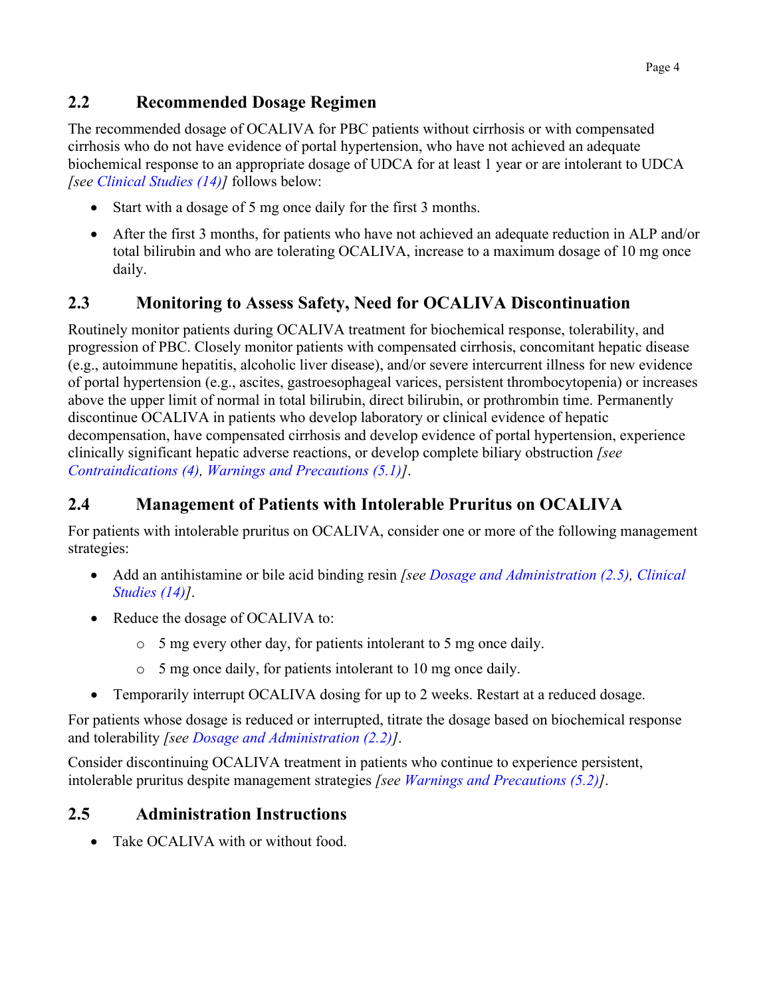## <span id="page-3-8"></span><span id="page-3-4"></span>**2.2 Recommended Dosage Regimen**

The recommended dosage of OCALIVA for PBC patients without cirrhosis or with compensated cirrhosis who do not have evidence of portal hypertension, who have not achieved an adequate biochemical response to an appropriate dosage of UDCA for at least 1 year or are intolerant to UDCA *[see [Clinical Studies \(14](#page-15-3))]* follows below:

- Start with a dosage of 5 mg once daily for the first 3 months.
- After the first 3 months, for patients who have not achieved an adequate reduction in ALP and/or total bilirubin and who are tolerating OCALIVA, increase to a maximum dosage of 10 mg once daily.

## <span id="page-3-7"></span><span id="page-3-3"></span><span id="page-3-0"></span>**2.3 Monitoring to Assess Safety, Need for OCALIVA Discontinuation**

<span id="page-3-6"></span>Routinely monitor patients during OCALIVA treatment for biochemical response, tolerability, and progression of PBC. Closely monitor patients with compensated cirrhosis, concomitant hepatic disease (e.g., autoimmune hepatitis, alcoholic liver disease), and/or severe intercurrent illness for new evidence of portal hypertension (e.g., ascites, gastroesophageal varices, persistent thrombocytopenia) or increases above the upper limit of normal in total bilirubin, direct bilirubin, or prothrombin time. Permanently discontinue OCALIVA in patients who develop laboratory or clinical evidence of hepatic decompensation, have compensated cirrhosis and develop evidence of portal hypertension, experience clinically significant hepatic adverse reactions, or develop complete biliary obstruction *[see [Contraindications \(4](#page-4-8)), Warnings and [Precautions \(5](#page-4-8).1)]*.

## <span id="page-3-5"></span><span id="page-3-1"></span>**2.4 Management of Patients with Intolerable Pruritus on OCALIVA**

For patients with intolerable pruritus on OCALIVA, consider one or more of the following management strategies:

- Add an antihistamine or bile acid binding resin *[see [Dosage and Administration \(2.5\),](#page-3-7) [Clinical](#page-15-3)  [Studies \(14\)](#page-15-3)]*.
- Reduce the dosage of OCALIVA to:
	- o 5 mg every other day, for patients intolerant to 5 mg once daily.
	- o 5 mg once daily, for patients intolerant to 10 mg once daily.
- Temporarily interrupt OCALIVA dosing for up to 2 weeks. Restart at a reduced dosage.

For patients whose dosage is reduced or interrupted, titrate the dosage based on biochemical response and tolerability *[see [Dosage and Administration \(2.2\)](#page-3-8)]*.

Consider discontinuing OCALIVA treatment in patients who continue to experience persistent, intolerable pruritus despite management strategies *[see [Warnings and Precautions \(5.2\)](#page-5-2)]*.

## <span id="page-3-2"></span>**2.5 Administration Instructions**

Take OCALIVA with or without food.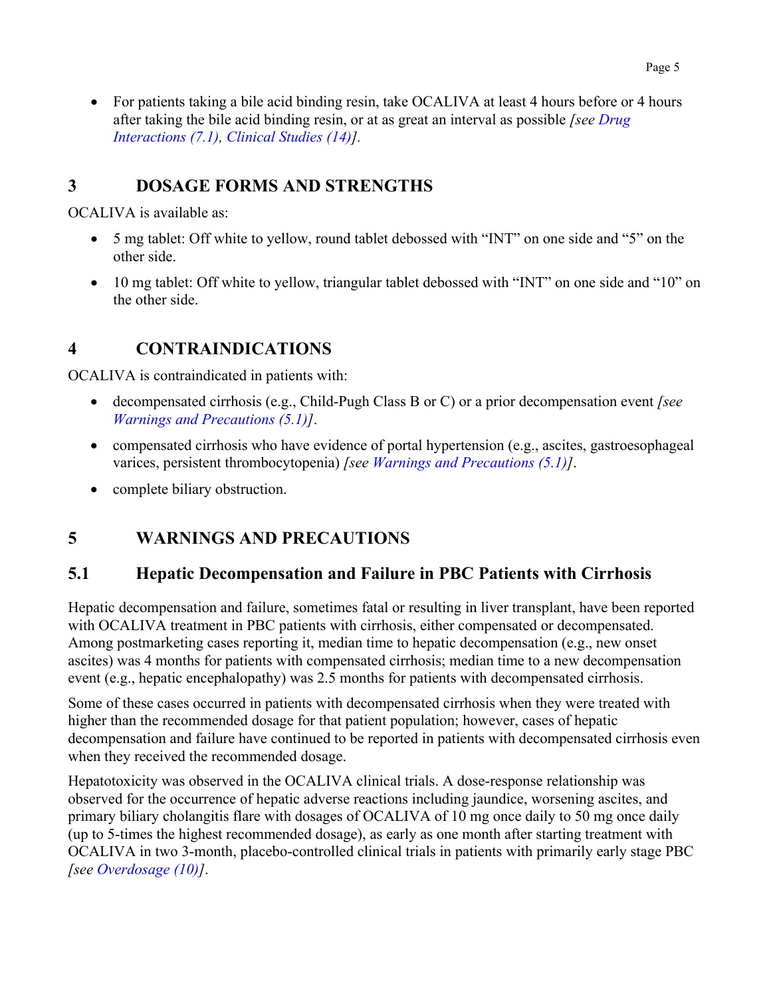• For patients taking a bile acid binding resin, take OCALIVA at least 4 hours before or 4 hours after taking the bile acid binding resin, or at as great an interval as possible *[see [Drug](#page-8-4)  [Interactions \(7.1\),](#page-8-4) [Clinical Studies \(14](#page-15-3))].*

## <span id="page-4-6"></span><span id="page-4-0"></span>**3 DOSAGE FORMS AND STRENGTHS**

<span id="page-4-8"></span>OCALIVA is available as:

- 5 mg tablet: Off white to yellow, round tablet debossed with "INT" on one side and "5" on the other side.
- 10 mg tablet: Off white to yellow, triangular tablet debossed with "INT" on one side and "10" on the other side.

## <span id="page-4-7"></span><span id="page-4-5"></span><span id="page-4-1"></span>**4 CONTRAINDICATIONS**

OCALIVA is contraindicated in patients with:

- decompensated cirrhosis (e.g., Child-Pugh Class B or C) or a prior decompensation event *[see [Warnings and Precautions \(5.1](#page-4-8))]*.
- compensated cirrhosis who have evidence of portal hypertension (e.g., ascites, gastroesophageal varices, persistent thrombocytopenia) *[see [Warnings and Precautions \(5.1\)](#page-4-8)]*.
- complete biliary obstruction.

## <span id="page-4-4"></span><span id="page-4-2"></span>**5 WARNINGS AND PRECAUTIONS**

## <span id="page-4-3"></span>**5.1 Hepatic Decompensation and Failure in PBC Patients with Cirrhosis**

Hepatic decompensation and failure, sometimes fatal or resulting in liver transplant, have been reported with OCALIVA treatment in PBC patients with cirrhosis, either compensated or decompensated. Among postmarketing cases reporting it, median time to hepatic decompensation (e.g., new onset ascites) was 4 months for patients with compensated cirrhosis; median time to a new decompensation event (e.g., hepatic encephalopathy) was 2.5 months for patients with decompensated cirrhosis.

Some of these cases occurred in patients with decompensated cirrhosis when they were treated with higher than the recommended dosage for that patient population; however, cases of hepatic decompensation and failure have continued to be reported in patients with decompensated cirrhosis even when they received the recommended dosage.

Hepatotoxicity was observed in the OCALIVA clinical trials. A dose-response relationship was observed for the occurrence of hepatic adverse reactions including jaundice, worsening ascites, and primary biliary cholangitis flare with dosages of OCALIVA of 10 mg once daily to 50 mg once daily (up to 5-times the highest recommended dosage), as early as one month after starting treatment with OCALIVA in two 3-month, placebo-controlled clinical trials in patients with primarily early stage PBC *[see [Overdosage \(10](#page-11-2))]*.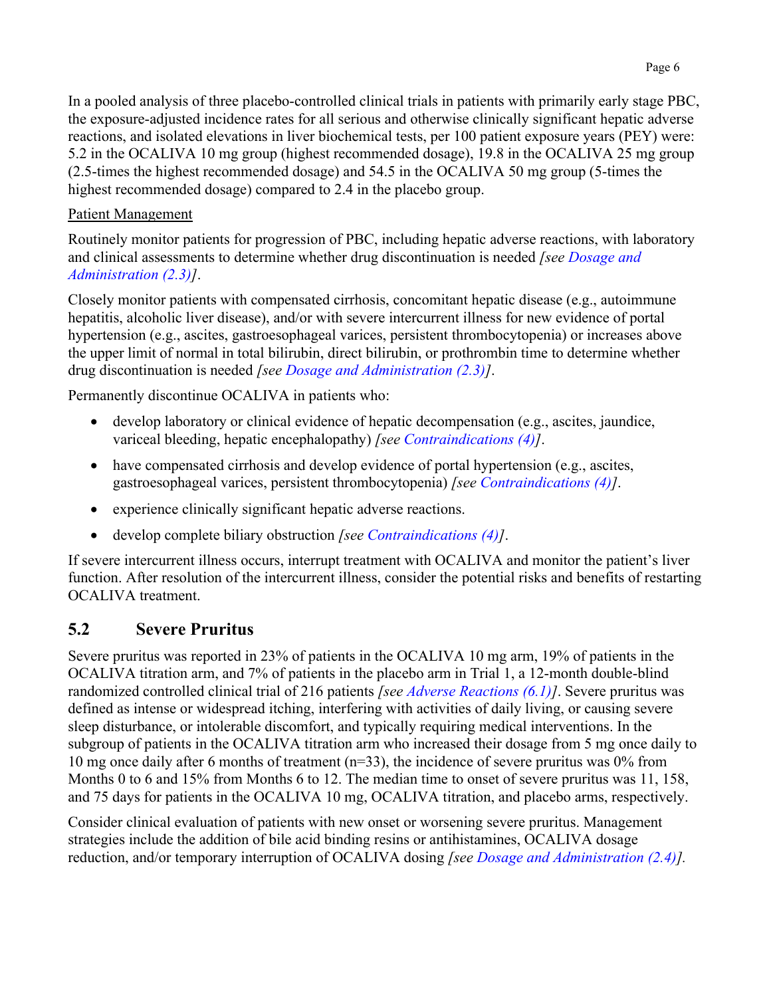In a pooled analysis of three placebo-controlled clinical trials in patients with primarily early stage PBC, the exposure-adjusted incidence rates for all serious and otherwise clinically significant hepatic adverse reactions, and isolated elevations in liver biochemical tests, per 100 patient exposure years (PEY) were: 5.2 in the OCALIVA 10 mg group (highest recommended dosage), 19.8 in the OCALIVA 25 mg group (2.5-times the highest recommended dosage) and 54.5 in the OCALIVA 50 mg group (5-times the highest recommended dosage) compared to 2.4 in the placebo group.

#### Patient Management

<span id="page-5-2"></span>Routinely monitor patients for progression of PBC, including hepatic adverse reactions, with laboratory and clinical assessments to determine whether drug discontinuation is needed *[see [Dosage and](#page-3-7) [Administration \(2.3](#page-3-7))]*.

Closely monitor patients with compensated cirrhosis, concomitant hepatic disease (e.g., autoimmune hepatitis, alcoholic liver disease), and/or with severe intercurrent illness for new evidence of portal hypertension (e.g., ascites, gastroesophageal varices, persistent thrombocytopenia) or increases above the upper limit of normal in total bilirubin, direct bilirubin, or prothrombin time to determine whether drug discontinuation is needed *[see [Dosage and Administration \(2.3\)](#page-3-7)]*.

Permanently discontinue OCALIVA in patients who:

- develop laboratory or clinical evidence of hepatic decompensation (e.g., ascites, jaundice, variceal bleeding, hepatic encephalopathy) *[see [Contraindications \(4\)](#page-4-8)]*.
- have compensated cirrhosis and develop evidence of portal hypertension (e.g., ascites, gastroesophageal varices, persistent thrombocytopenia) *[see [Contraindications \(4\)\]](#page-4-8)*.
- experience clinically significant hepatic adverse reactions.
- develop complete biliary obstruction *[see [Contraindications \(4\)\]](#page-4-8)*.

<span id="page-5-1"></span>If severe intercurrent illness occurs, interrupt treatment with OCALIVA and monitor the patient's liver function. After resolution of the intercurrent illness, consider the potential risks and benefits of restarting OCALIVA treatment.

### <span id="page-5-0"></span>**5.2 Severe Pruritus**

Severe pruritus was reported in 23% of patients in the OCALIVA 10 mg arm, 19% of patients in the OCALIVA titration arm, and 7% of patients in the placebo arm in Trial 1, a 12-month double-blind randomized controlled clinical trial of 216 patients *[see [Adverse Reactions \(6.1](#page-6-5))]*. Severe pruritus was defined as intense or widespread itching, interfering with activities of daily living, or causing severe sleep disturbance, or intolerable discomfort, and typically requiring medical interventions. In the subgroup of patients in the OCALIVA titration arm who increased their dosage from 5 mg once daily to 10 mg once daily after 6 months of treatment (n=33), the incidence of severe pruritus was 0% from Months 0 to 6 and 15% from Months 6 to 12. The median time to onset of severe pruritus was 11, 158, and 75 days for patients in the OCALIVA 10 mg, OCALIVA titration, and placebo arms, respectively.

Consider clinical evaluation of patients with new onset or worsening severe pruritus. Management strategies include the addition of bile acid binding resins or antihistamines, OCALIVA dosage reduction, and/or temporary interruption of OCALIVA dosing *[see [Dosage and Administration \(2.4\)](#page-3-7)].*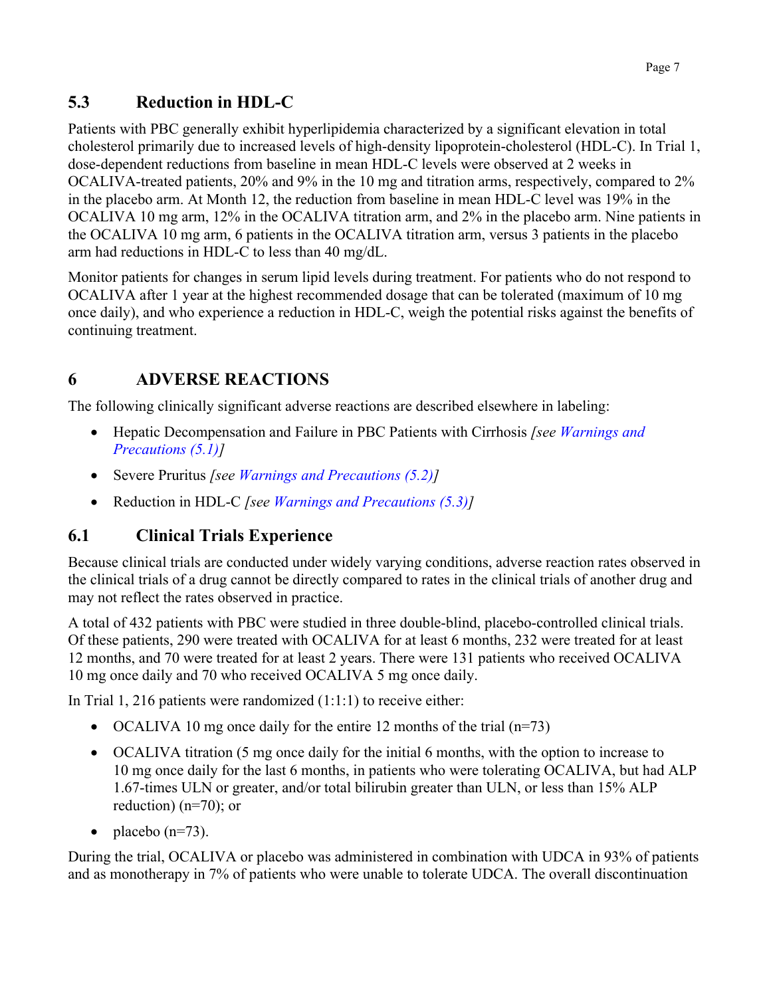## <span id="page-6-6"></span><span id="page-6-3"></span><span id="page-6-0"></span>**5.3 Reduction in HDL-C**

Patients with PBC generally exhibit hyperlipidemia characterized by a significant elevation in total cholesterol primarily due to increased levels of high-density lipoprotein-cholesterol (HDL-C). In Trial 1, dose-dependent reductions from baseline in mean HDL-C levels were observed at 2 weeks in OCALIVA-treated patients, 20% and 9% in the 10 mg and titration arms, respectively, compared to 2% in the placebo arm. At Month 12, the reduction from baseline in mean HDL-C level was 19% in the OCALIVA 10 mg arm, 12% in the OCALIVA titration arm, and 2% in the placebo arm. Nine patients in the OCALIVA 10 mg arm, 6 patients in the OCALIVA titration arm, versus 3 patients in the placebo arm had reductions in HDL-C to less than 40 mg/dL.

<span id="page-6-5"></span>Monitor patients for changes in serum lipid levels during treatment. For patients who do not respond to OCALIVA after 1 year at the highest recommended dosage that can be tolerated (maximum of 10 mg once daily), and who experience a reduction in HDL-C, weigh the potential risks against the benefits of continuing treatment.

# <span id="page-6-1"></span>**6 ADVERSE REACTIONS**

The following clinically significant adverse reactions are described elsewhere in labeling:

- Hepatic Decompensation and Failure in PBC Patients with Cirrhosis *[see [Warnings and](#page-4-8) [Precautions \(5.1\)\]](#page-4-8)*
- Severe Pruritus *[see [Warnings and Precautions \(5.2\)\]](#page-5-2)*
- Reduction in HDL-C *[see [Warnings and Precautions \(5.3](#page-6-6))]*

## <span id="page-6-4"></span><span id="page-6-2"></span>**6.1 Clinical Trials Experience**

Because clinical trials are conducted under widely varying conditions, adverse reaction rates observed in the clinical trials of a drug cannot be directly compared to rates in the clinical trials of another drug and may not reflect the rates observed in practice.

A total of 432 patients with PBC were studied in three double-blind, placebo-controlled clinical trials. Of these patients, 290 were treated with OCALIVA for at least 6 months, 232 were treated for at least 12 months, and 70 were treated for at least 2 years. There were 131 patients who received OCALIVA 10 mg once daily and 70 who received OCALIVA 5 mg once daily.

In Trial 1, 216 patients were randomized (1:1:1) to receive either:

- OCALIVA 10 mg once daily for the entire 12 months of the trial  $(n=73)$
- OCALIVA titration (5 mg once daily for the initial 6 months, with the option to increase to 10 mg once daily for the last 6 months, in patients who were tolerating OCALIVA, but had ALP 1.67-times ULN or greater, and/or total bilirubin greater than ULN, or less than 15% ALP reduction) (n=70); or
- placebo  $(n=73)$ .

During the trial, OCALIVA or placebo was administered in combination with UDCA in 93% of patients and as monotherapy in 7% of patients who were unable to tolerate UDCA. The overall discontinuation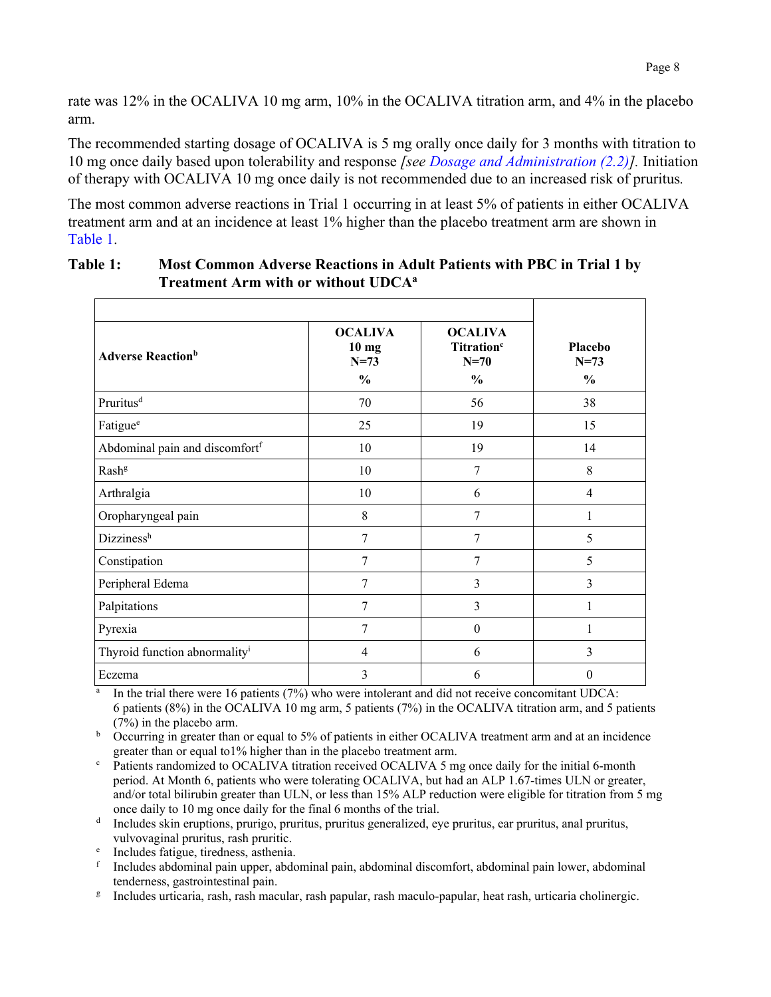rate was 12% in the OCALIVA 10 mg arm, 10% in the OCALIVA titration arm, and 4% in the placebo arm.

The recommended starting dosage of OCALIVA is 5 mg orally once daily for 3 months with titration to 10 mg once daily based upon tolerability and response *[see [Dosage and Administration \(2.2\)](#page-3-8)].* Initiation of therapy with OCALIVA 10 mg once daily is not recommended due to an increased risk of pruritus*.*

The most common adverse reactions in Trial 1 occurring in at least 5% of patients in either OCALIVA treatment arm and at an incidence at least 1% higher than the placebo treatment arm are shown in [Table](#page-7-0) 1.

| <b>Adverse Reaction</b> <sup>b</sup>       | <b>OCALIVA</b><br>$10 \text{ mg}$<br>$N = 73$ | <b>OCALIVA</b><br>Titration <sup>c</sup><br>$N=70$ | <b>Placebo</b><br>$N = 73$ |  |
|--------------------------------------------|-----------------------------------------------|----------------------------------------------------|----------------------------|--|
|                                            | $\frac{0}{0}$                                 | $\frac{0}{0}$                                      | $\frac{0}{0}$              |  |
| Pruritus <sup>d</sup>                      | 70                                            | 56                                                 | 38                         |  |
| Fatigue <sup>e</sup>                       | 25                                            | 19                                                 | 15                         |  |
| Abdominal pain and discomfort <sup>f</sup> | 10                                            | 19                                                 | 14                         |  |
| Rash <sup>g</sup>                          | 10                                            | 7                                                  | 8                          |  |
| Arthralgia                                 | 10                                            | 6                                                  | $\overline{4}$             |  |
| Oropharyngeal pain                         | 8                                             | 7                                                  | 1                          |  |
| Dizzinessh                                 | 7                                             | 7                                                  | 5                          |  |
| Constipation                               | 7                                             | 7                                                  | 5                          |  |
| Peripheral Edema                           | 7                                             | 3                                                  | 3                          |  |
| Palpitations                               | 7                                             | 3                                                  | 1                          |  |
| Pyrexia                                    | 7                                             | $\theta$                                           | 1                          |  |
| Thyroid function abnormality <sup>i</sup>  | $\overline{4}$                                | 6                                                  | 3                          |  |
| Eczema                                     | 3                                             | 6                                                  | $\theta$                   |  |

#### <span id="page-7-0"></span>**Table 1: Most Common Adverse Reactions in Adult Patients with PBC in Trial 1 by Treatment Arm with or without UDCAa**

 $^{\text{a}}$  In the trial there were 16 patients (7%) who were intolerant and did not receive concomitant UDCA: 6 patients (8%) in the OCALIVA 10 mg arm, 5 patients (7%) in the OCALIVA titration arm, and 5 patients (7%) in the placebo arm.

<sup>b</sup> Occurring in greater than or equal to 5% of patients in either OCALIVA treatment arm and at an incidence greater than or equal to1% higher than in the placebo treatment arm.

Patients randomized to OCALIVA titration received OCALIVA 5 mg once daily for the initial 6-month period. At Month 6, patients who were tolerating OCALIVA, but had an ALP 1.67-times ULN or greater, and/or total bilirubin greater than ULN, or less than 15% ALP reduction were eligible for titration from 5 mg once daily to 10 mg once daily for the final 6 months of the trial.

<sup>d</sup> Includes skin eruptions, prurigo, pruritus, pruritus generalized, eye pruritus, ear pruritus, anal pruritus, vulvovaginal pruritus, rash pruritic.

<sup>e</sup> Includes fatigue, tiredness, asthenia.

<sup>f</sup> Includes abdominal pain upper, abdominal pain, abdominal discomfort, abdominal pain lower, abdominal tenderness, gastrointestinal pain.

<sup>g</sup> Includes urticaria, rash, rash macular, rash papular, rash maculo-papular, heat rash, urticaria cholinergic.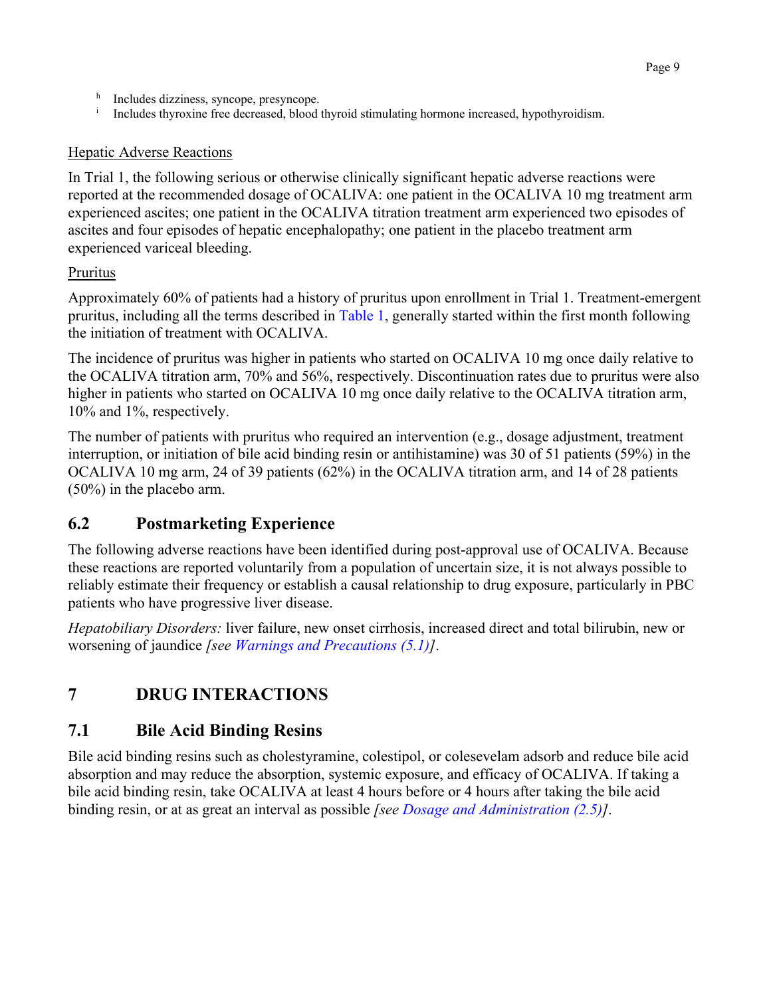- $h$  Includes dizziness, syncope, presyncope.
- <sup>i</sup> Includes thyroxine free decreased, blood thyroid stimulating hormone increased, hypothyroidism.

#### Hepatic Adverse Reactions

In Trial 1, the following serious or otherwise clinically significant hepatic adverse reactions were reported at the recommended dosage of OCALIVA: one patient in the OCALIVA 10 mg treatment arm experienced ascites; one patient in the OCALIVA titration treatment arm experienced two episodes of ascites and four episodes of hepatic encephalopathy; one patient in the placebo treatment arm experienced variceal bleeding.

### <span id="page-8-4"></span>Pruritus

Approximately 60% of patients had a history of pruritus upon enrollment in Trial 1. Treatment-emergent pruritus, including all the terms described in [Table](#page-7-0) 1, generally started within the first month following the initiation of treatment with OCALIVA.

The incidence of pruritus was higher in patients who started on OCALIVA 10 mg once daily relative to the OCALIVA titration arm, 70% and 56%, respectively. Discontinuation rates due to pruritus were also higher in patients who started on OCALIVA 10 mg once daily relative to the OCALIVA titration arm, 10% and 1%, respectively.

The number of patients with pruritus who required an intervention (e.g., dosage adjustment, treatment interruption, or initiation of bile acid binding resin or antihistamine) was 30 of 51 patients (59%) in the OCALIVA 10 mg arm, 24 of 39 patients (62%) in the OCALIVA titration arm, and 14 of 28 patients (50%) in the placebo arm.

## <span id="page-8-3"></span><span id="page-8-0"></span>**6.2 Postmarketing Experience**

The following adverse reactions have been identified during post-approval use of OCALIVA. Because these reactions are reported voluntarily from a population of uncertain size, it is not always possible to reliably estimate their frequency or establish a causal relationship to drug exposure, particularly in PBC patients who have progressive liver disease.

*Hepatobiliary Disorders:* liver failure, new onset cirrhosis, increased direct and total bilirubin, new or worsening of jaundice *[see [Warnings and Precautions \(5.1](#page-4-8))]*.

# <span id="page-8-1"></span>**7 DRUG INTERACTIONS**

## <span id="page-8-2"></span>**7.1 Bile Acid Binding Resins**

Bile acid binding resins such as cholestyramine, colestipol, or colesevelam adsorb and reduce bile acid absorption and may reduce the absorption, systemic exposure, and efficacy of OCALIVA. If taking a bile acid binding resin, take OCALIVA at least 4 hours before or 4 hours after taking the bile acid binding resin, or at as great an interval as possible *[see [Dosage and Administration \(2.5\)](#page-3-7)]*.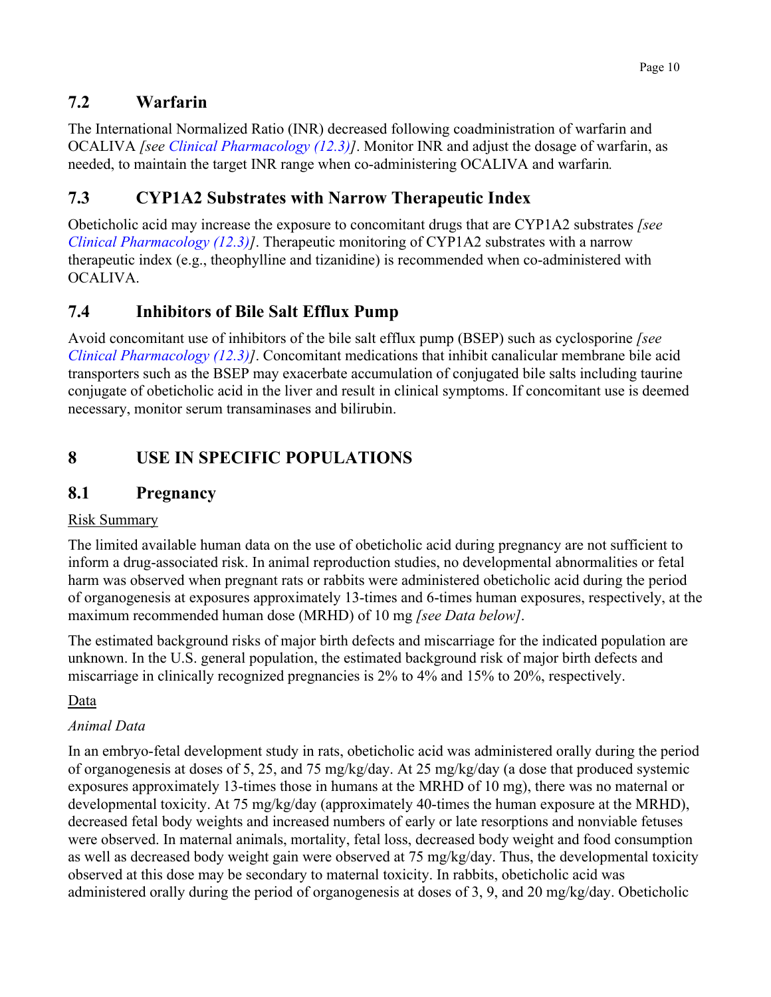## <span id="page-9-7"></span><span id="page-9-4"></span><span id="page-9-0"></span>**7.2 Warfarin**

The International Normalized Ratio (INR) decreased following coadministration of warfarin and OCALIVA *[see [Clinical Pharmacology \(12.3](#page-12-4))]*. Monitor INR and adjust the dosage of warfarin, as needed, to maintain the target INR range when co-administering OCALIVA and warfarin*.*

## <span id="page-9-8"></span><span id="page-9-5"></span><span id="page-9-1"></span>**7.3 CYP1A2 Substrates with Narrow Therapeutic Index**

<span id="page-9-9"></span>Obeticholic acid may increase the exposure to concomitant drugs that are CYP1A2 substrates *[see [Clinical Pharmacology \(12.3](#page-12-4))]*. Therapeutic monitoring of CYP1A2 substrates with a narrow therapeutic index (e.g., theophylline and tizanidine) is recommended when co-administered with OCALIVA.

## <span id="page-9-6"></span>**7.4 Inhibitors of Bile Salt Efflux Pump**

Avoid concomitant use of inhibitors of the bile salt efflux pump (BSEP) such as cyclosporine *[see [Clinical Pharmacology \(12.3](#page-12-4))]*. Concomitant medications that inhibit canalicular membrane bile acid transporters such as the BSEP may exacerbate accumulation of conjugated bile salts including taurine conjugate of obeticholic acid in the liver and result in clinical symptoms. If concomitant use is deemed necessary, monitor serum transaminases and bilirubin.

# <span id="page-9-2"></span>**8 USE IN SPECIFIC POPULATIONS**

## <span id="page-9-3"></span>**8.1 Pregnancy**

### Risk Summary

The limited available human data on the use of obeticholic acid during pregnancy are not sufficient to inform a drug-associated risk. In animal reproduction studies, no developmental abnormalities or fetal harm was observed when pregnant rats or rabbits were administered obeticholic acid during the period of organogenesis at exposures approximately 13-times and 6-times human exposures, respectively, at the maximum recommended human dose (MRHD) of 10 mg *[see Data below]*.

The estimated background risks of major birth defects and miscarriage for the indicated population are unknown. In the U.S. general population, the estimated background risk of major birth defects and miscarriage in clinically recognized pregnancies is 2% to 4% and 15% to 20%, respectively.

### Data

### *Animal Data*

In an embryo-fetal development study in rats, obeticholic acid was administered orally during the period of organogenesis at doses of 5, 25, and 75 mg/kg/day. At 25 mg/kg/day (a dose that produced systemic exposures approximately 13-times those in humans at the MRHD of 10 mg), there was no maternal or developmental toxicity. At 75 mg/kg/day (approximately 40-times the human exposure at the MRHD), decreased fetal body weights and increased numbers of early or late resorptions and nonviable fetuses were observed. In maternal animals, mortality, fetal loss, decreased body weight and food consumption as well as decreased body weight gain were observed at 75 mg/kg/day. Thus, the developmental toxicity observed at this dose may be secondary to maternal toxicity. In rabbits, obeticholic acid was administered orally during the period of organogenesis at doses of 3, 9, and 20 mg/kg/day. Obeticholic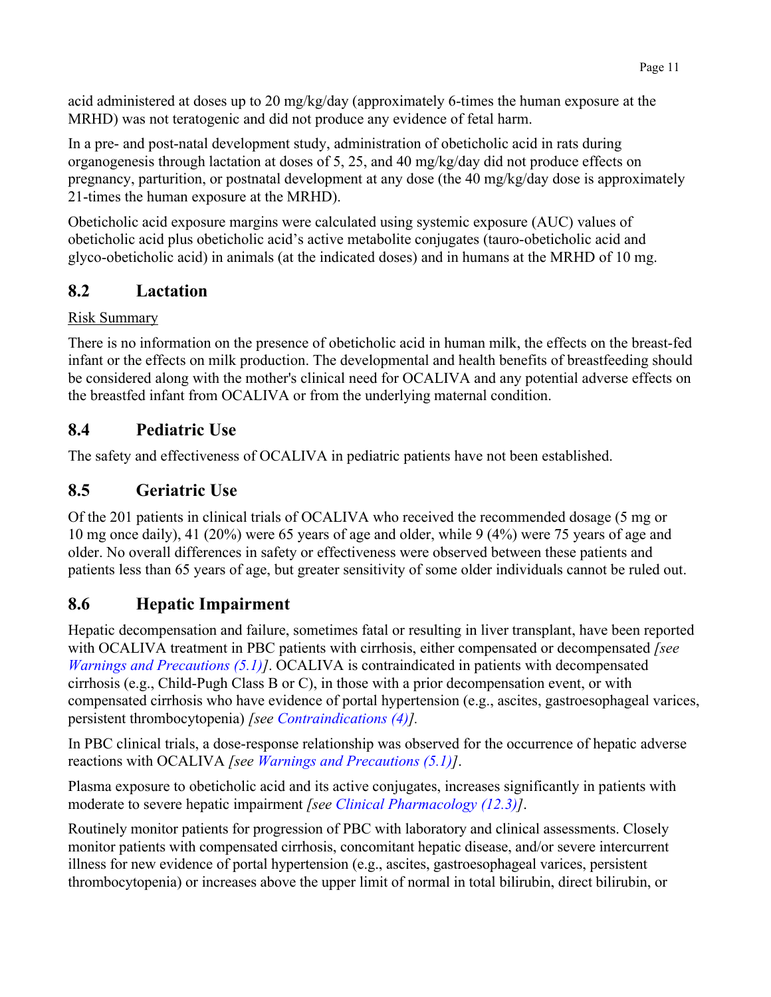acid administered at doses up to 20 mg/kg/day (approximately 6-times the human exposure at the MRHD) was not teratogenic and did not produce any evidence of fetal harm.

In a pre- and post-natal development study, administration of obeticholic acid in rats during organogenesis through lactation at doses of 5, 25, and 40 mg/kg/day did not produce effects on pregnancy, parturition, or postnatal development at any dose (the 40 mg/kg/day dose is approximately 21-times the human exposure at the MRHD).

<span id="page-10-4"></span>Obeticholic acid exposure margins were calculated using systemic exposure (AUC) values of obeticholic acid plus obeticholic acid's active metabolite conjugates (tauro-obeticholic acid and glyco-obeticholic acid) in animals (at the indicated doses) and in humans at the MRHD of 10 mg.

## <span id="page-10-0"></span>**8.2 Lactation**

### Risk Summary

There is no information on the presence of obeticholic acid in human milk, the effects on the breast-fed infant or the effects on milk production. The developmental and health benefits of breastfeeding should be considered along with the mother's clinical need for OCALIVA and any potential adverse effects on the breastfed infant from OCALIVA or from the underlying maternal condition.

## <span id="page-10-1"></span>**8.4 Pediatric Use**

The safety and effectiveness of OCALIVA in pediatric patients have not been established.

# <span id="page-10-2"></span>**8.5 Geriatric Use**

Of the 201 patients in clinical trials of OCALIVA who received the recommended dosage (5 mg or 10 mg once daily), 41 (20%) were 65 years of age and older, while 9 (4%) were 75 years of age and older. No overall differences in safety or effectiveness were observed between these patients and patients less than 65 years of age, but greater sensitivity of some older individuals cannot be ruled out.

# <span id="page-10-3"></span>**8.6 Hepatic Impairment**

Hepatic decompensation and failure, sometimes fatal or resulting in liver transplant, have been reported with OCALIVA treatment in PBC patients with cirrhosis, either compensated or decompensated *[see [Warnings and Precautions \(5.1\)](#page-4-8)]*. OCALIVA is contraindicated in patients with decompensated cirrhosis (e.g., Child-Pugh Class B or C), in those with a prior decompensation event, or with compensated cirrhosis who have evidence of portal hypertension (e.g., ascites, gastroesophageal varices, persistent thrombocytopenia) *[see [Contraindications \(4\)](#page-4-8)].*

In PBC clinical trials, a dose-response relationship was observed for the occurrence of hepatic adverse reactions with OCALIVA *[see [Warnings and Precautions \(5.1](#page-4-8))]*.

Plasma exposure to obeticholic acid and its active conjugates, increases significantly in patients with moderate to severe hepatic impairment *[see [Clinical Pharmacology \(12.3\)](#page-12-4)]*.

Routinely monitor patients for progression of PBC with laboratory and clinical assessments. Closely monitor patients with compensated cirrhosis, concomitant hepatic disease, and/or severe intercurrent illness for new evidence of portal hypertension (e.g., ascites, gastroesophageal varices, persistent thrombocytopenia) or increases above the upper limit of normal in total bilirubin, direct bilirubin, or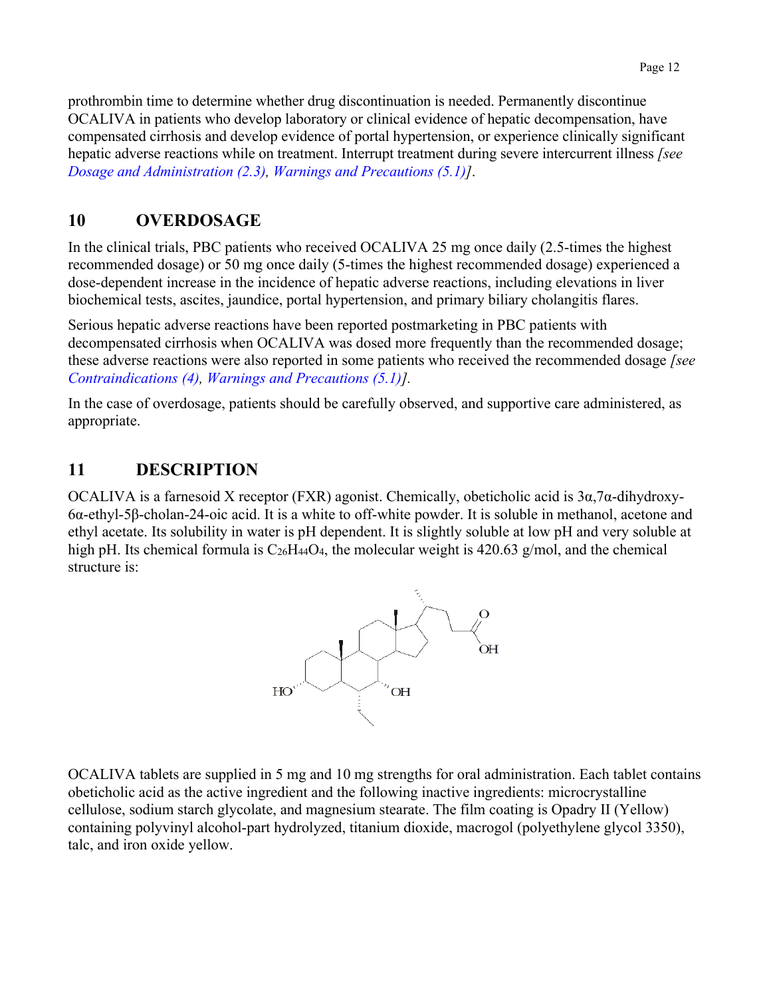prothrombin time to determine whether drug discontinuation is needed. Permanently discontinue OCALIVA in patients who develop laboratory or clinical evidence of hepatic decompensation, have compensated cirrhosis and develop evidence of portal hypertension, or experience clinically significant hepatic adverse reactions while on treatment. Interrupt treatment during severe intercurrent illness *[see [Dosage and Administration \(2.3](#page-3-7)), [Warnings and Precautions \(5.1](#page-4-8))]*.

## <span id="page-11-2"></span><span id="page-11-0"></span>**10 OVERDOSAGE**

In the clinical trials, PBC patients who received OCALIVA 25 mg once daily (2.5-times the highest recommended dosage) or 50 mg once daily (5-times the highest recommended dosage) experienced a dose-dependent increase in the incidence of hepatic adverse reactions, including elevations in liver biochemical tests, ascites, jaundice, portal hypertension, and primary biliary cholangitis flares.

Serious hepatic adverse reactions have been reported postmarketing in PBC patients with decompensated cirrhosis when OCALIVA was dosed more frequently than the recommended dosage; these adverse reactions were also reported in some patients who received the recommended dosage *[see [Contraindications \(4\), Warnings and Precautions](#page-4-8) (5.1)].*

In the case of overdosage, patients should be carefully observed, and supportive care administered, as appropriate.

## <span id="page-11-1"></span>**11 DESCRIPTION**

OCALIVA is a farnesoid X receptor (FXR) agonist. Chemically, obeticholic acid is 3α,7α-dihydroxy-6α-ethyl-5β-cholan-24-oic acid. It is a white to off-white powder. It is soluble in methanol, acetone and ethyl acetate. Its solubility in water is pH dependent. It is slightly soluble at low pH and very soluble at high pH. Its chemical formula is  $C_{26}H_{44}O_4$ , the molecular weight is 420.63 g/mol, and the chemical structure is:



OCALIVA tablets are supplied in 5 mg and 10 mg strengths for oral administration. Each tablet contains obeticholic acid as the active ingredient and the following inactive ingredients: microcrystalline cellulose, sodium starch glycolate, and magnesium stearate. The film coating is Opadry II (Yellow) containing polyvinyl alcohol-part hydrolyzed, titanium dioxide, macrogol (polyethylene glycol 3350), talc, and iron oxide yellow.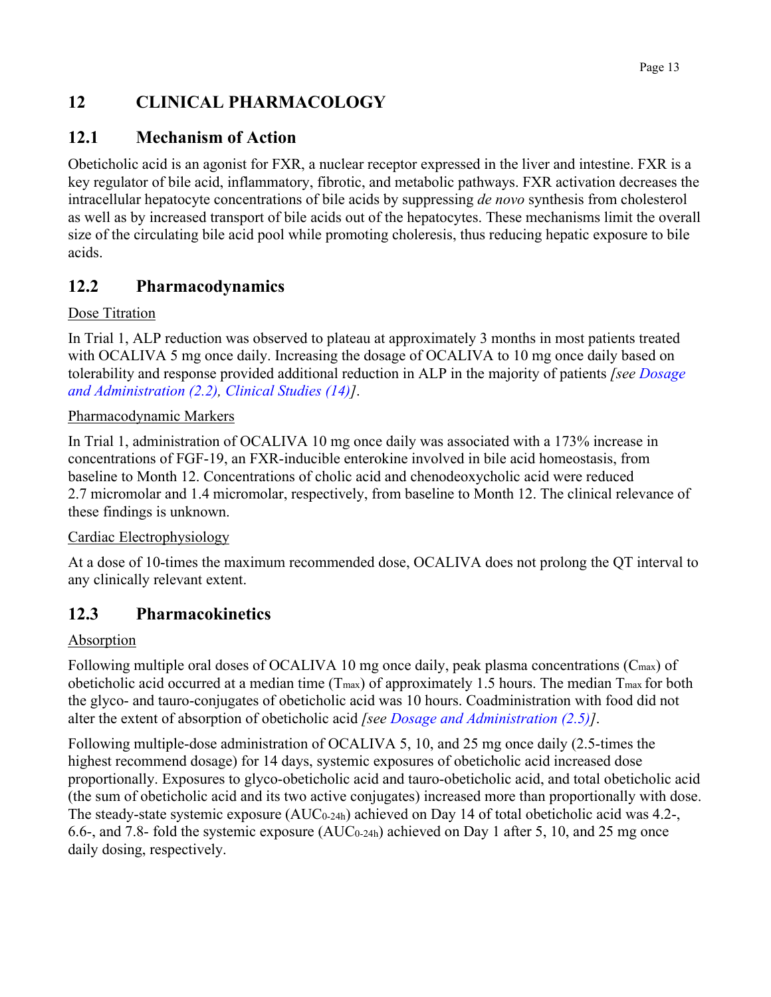## <span id="page-12-0"></span>**12 CLINICAL PHARMACOLOGY**

## <span id="page-12-1"></span>**12.1 Mechanism of Action**

<span id="page-12-4"></span>Obeticholic acid is an agonist for FXR, a nuclear receptor expressed in the liver and intestine. FXR is a key regulator of bile acid, inflammatory, fibrotic, and metabolic pathways. FXR activation decreases the intracellular hepatocyte concentrations of bile acids by suppressing *de novo* synthesis from cholesterol as well as by increased transport of bile acids out of the hepatocytes. These mechanisms limit the overall size of the circulating bile acid pool while promoting choleresis, thus reducing hepatic exposure to bile acids.

## <span id="page-12-2"></span>**12.2 Pharmacodynamics**

### Dose Titration

In Trial 1, ALP reduction was observed to plateau at approximately 3 months in most patients treated with OCALIVA 5 mg once daily. Increasing the dosage of OCALIVA to 10 mg once daily based on tolerability and response provided additional reduction in ALP in the majority of patients *[see [Dosage](#page-3-8)  [and Administration](#page-3-8) (2.2), [Clinical Studies](#page-15-3) (14)]*.

#### Pharmacodynamic Markers

In Trial 1, administration of OCALIVA 10 mg once daily was associated with a 173% increase in concentrations of FGF-19, an FXR-inducible enterokine involved in bile acid homeostasis, from baseline to Month 12. Concentrations of cholic acid and chenodeoxycholic acid were reduced 2.7 micromolar and 1.4 micromolar, respectively, from baseline to Month 12. The clinical relevance of these findings is unknown.

### Cardiac Electrophysiology

At a dose of 10-times the maximum recommended dose, OCALIVA does not prolong the QT interval to any clinically relevant extent.

## <span id="page-12-3"></span>**12.3 Pharmacokinetics**

### Absorption

Following multiple oral doses of OCALIVA 10 mg once daily, peak plasma concentrations (C<sub>max</sub>) of obeticholic acid occurred at a median time  $(T_{\text{max}})$  of approximately 1.5 hours. The median  $T_{\text{max}}$  for both the glyco- and tauro-conjugates of obeticholic acid was 10 hours. Coadministration with food did not alter the extent of absorption of obeticholic acid *[see [Dosage and Administration \(2.5\)](#page-3-7)]*.

Following multiple-dose administration of OCALIVA 5, 10, and 25 mg once daily (2.5-times the highest recommend dosage) for 14 days, systemic exposures of obeticholic acid increased dose proportionally. Exposures to glyco-obeticholic acid and tauro-obeticholic acid, and total obeticholic acid (the sum of obeticholic acid and its two active conjugates) increased more than proportionally with dose. The steady-state systemic exposure (AUC0-24h) achieved on Day 14 of total obeticholic acid was 4.2-, 6.6-, and 7.8- fold the systemic exposure (AUC0-24h) achieved on Day 1 after 5, 10, and 25 mg once daily dosing, respectively.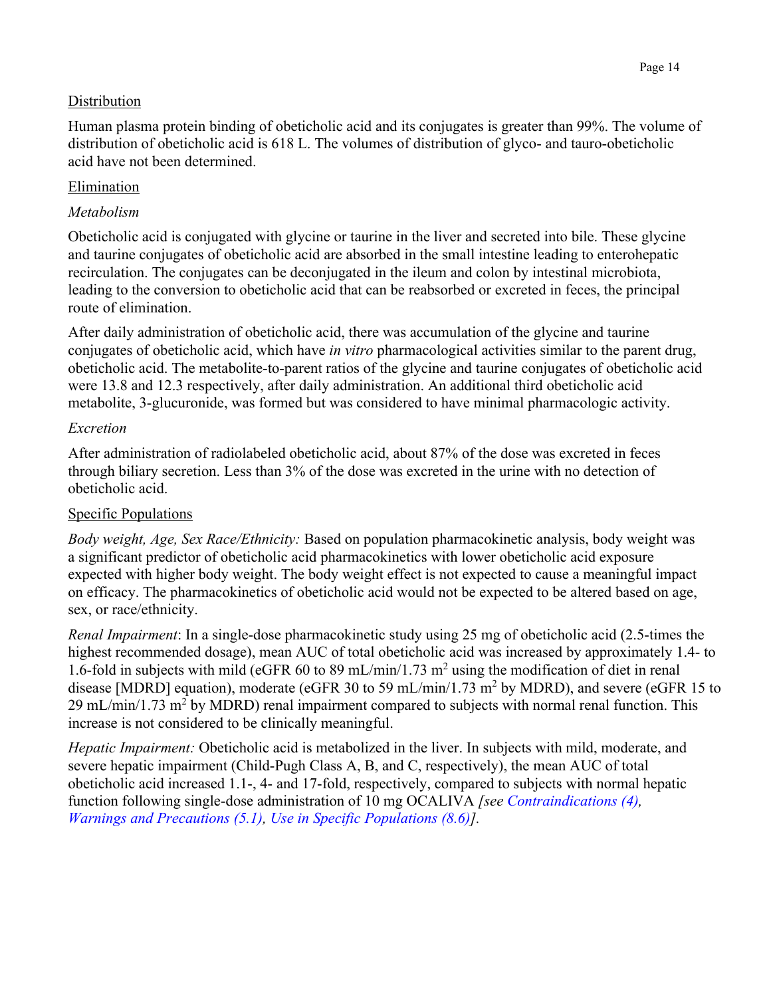#### **Distribution**

Human plasma protein binding of obeticholic acid and its conjugates is greater than 99%. The volume of distribution of obeticholic acid is 618 L. The volumes of distribution of glyco- and tauro-obeticholic acid have not been determined.

#### **Elimination**

#### *Metabolism*

Obeticholic acid is conjugated with glycine or taurine in the liver and secreted into bile. These glycine and taurine conjugates of obeticholic acid are absorbed in the small intestine leading to enterohepatic recirculation. The conjugates can be deconjugated in the ileum and colon by intestinal microbiota, leading to the conversion to obeticholic acid that can be reabsorbed or excreted in feces, the principal route of elimination.

After daily administration of obeticholic acid, there was accumulation of the glycine and taurine conjugates of obeticholic acid, which have *in vitro* pharmacological activities similar to the parent drug, obeticholic acid. The metabolite-to-parent ratios of the glycine and taurine conjugates of obeticholic acid were 13.8 and 12.3 respectively, after daily administration. An additional third obeticholic acid metabolite, 3-glucuronide, was formed but was considered to have minimal pharmacologic activity.

#### *Excretion*

After administration of radiolabeled obeticholic acid, about 87% of the dose was excreted in feces through biliary secretion. Less than 3% of the dose was excreted in the urine with no detection of obeticholic acid.

#### Specific Populations

*Body weight, Age, Sex Race/Ethnicity:* Based on population pharmacokinetic analysis, body weight was a significant predictor of obeticholic acid pharmacokinetics with lower obeticholic acid exposure expected with higher body weight. The body weight effect is not expected to cause a meaningful impact on efficacy. The pharmacokinetics of obeticholic acid would not be expected to be altered based on age, sex, or race/ethnicity.

*Renal Impairment*: In a single-dose pharmacokinetic study using 25 mg of obeticholic acid (2.5-times the highest recommended dosage), mean AUC of total obeticholic acid was increased by approximately 1.4- to 1.6-fold in subjects with mild (eGFR 60 to 89 mL/min/1.73  $m^2$  using the modification of diet in renal disease [MDRD] equation), moderate (eGFR 30 to 59 mL/min/1.73 m<sup>2</sup> by MDRD), and severe (eGFR 15 to 29 mL/min/1.73 m<sup>2</sup> by MDRD) renal impairment compared to subjects with normal renal function. This increase is not considered to be clinically meaningful.

*Hepatic Impairment:* Obeticholic acid is metabolized in the liver. In subjects with mild, moderate, and severe hepatic impairment (Child-Pugh Class A, B, and C, respectively), the mean AUC of total obeticholic acid increased 1.1-, 4- and 17-fold, respectively, compared to subjects with normal hepatic function following single-dose administration of 10 mg OCALIVA *[see [Contraindications \(4\),](#page-4-8) [Warnings and Precautions \(5.1\),](#page-4-8) [Use in Specific Populations \(8.6\)](#page-10-4)].*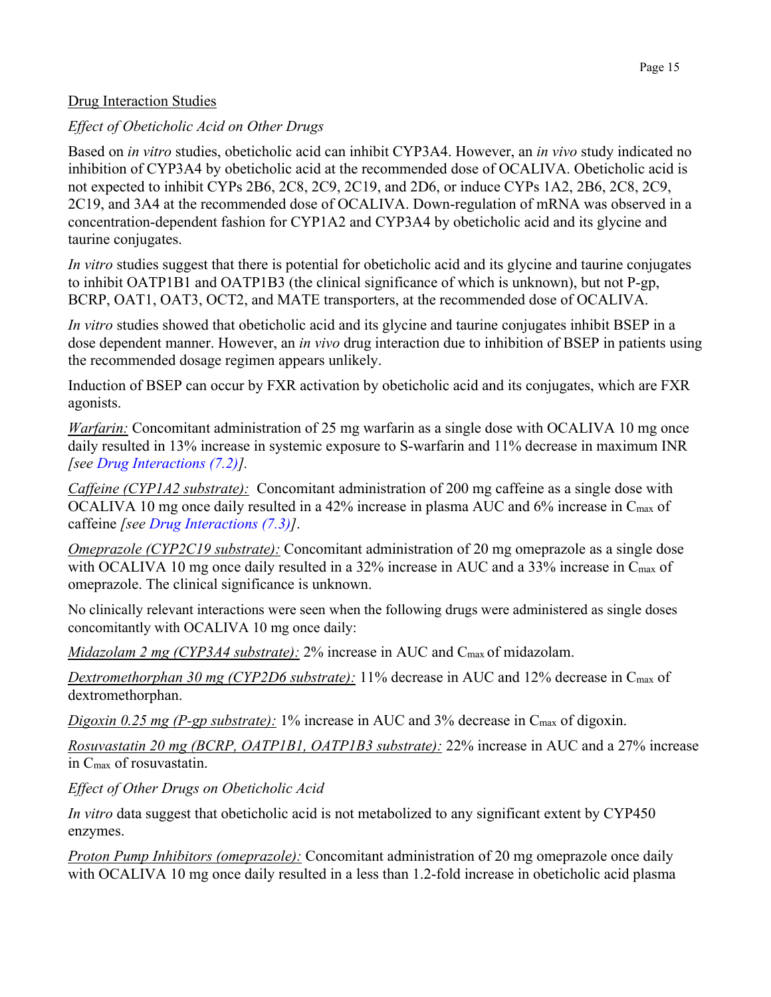#### Drug Interaction Studies

#### *Effect of Obeticholic Acid on Other Drugs*

Based on *in vitro* studies, obeticholic acid can inhibit CYP3A4. However, an *in vivo* study indicated no inhibition of CYP3A4 by obeticholic acid at the recommended dose of OCALIVA. Obeticholic acid is not expected to inhibit CYPs 2B6, 2C8, 2C9, 2C19, and 2D6, or induce CYPs 1A2, 2B6, 2C8, 2C9, 2C19, and 3A4 at the recommended dose of OCALIVA. Down-regulation of mRNA was observed in a concentration-dependent fashion for CYP1A2 and CYP3A4 by obeticholic acid and its glycine and taurine conjugates.

*In vitro* studies suggest that there is potential for obeticholic acid and its glycine and taurine conjugates to inhibit OATP1B1 and OATP1B3 (the clinical significance of which is unknown), but not P-gp, BCRP, OAT1, OAT3, OCT2, and MATE transporters, at the recommended dose of OCALIVA.

*In vitro* studies showed that obeticholic acid and its glycine and taurine conjugates inhibit BSEP in a dose dependent manner. However, an *in vivo* drug interaction due to inhibition of BSEP in patients using the recommended dosage regimen appears unlikely.

Induction of BSEP can occur by FXR activation by obeticholic acid and its conjugates, which are FXR agonists.

*Warfarin:* Concomitant administration of 25 mg warfarin as a single dose with OCALIVA 10 mg once daily resulted in 13% increase in systemic exposure to S-warfarin and 11% decrease in maximum INR *[see [Drug Interactions \(7.2](#page-9-7))].*

*Caffeine (CYP1A2 substrate):* Concomitant administration of 200 mg caffeine as a single dose with OCALIVA 10 mg once daily resulted in a 42% increase in plasma AUC and 6% increase in C<sub>max</sub> of caffeine *[see [Drug Interactions \(7.3\)](#page-9-8)]*.

*Omeprazole (CYP2C19 substrate):* Concomitant administration of 20 mg omeprazole as a single dose with OCALIVA 10 mg once daily resulted in a 32% increase in AUC and a 33% increase in C<sub>max</sub> of omeprazole. The clinical significance is unknown.

No clinically relevant interactions were seen when the following drugs were administered as single doses concomitantly with OCALIVA 10 mg once daily:

*Midazolam 2 mg (CYP3A4 substrate):* 2% increase in AUC and Cmax of midazolam.

*Dextromethorphan 30 mg (CYP2D6 substrate):* 11% decrease in AUC and 12% decrease in Cmax of dextromethorphan.

*Digoxin* 0.25 mg (P-gp substrate): 1% increase in AUC and 3% decrease in C<sub>max</sub> of digoxin.

*Rosuvastatin 20 mg (BCRP, OATP1B1, OATP1B3 substrate):* 22% increase in AUC and a 27% increase in Cmax of rosuvastatin.

*Effect of Other Drugs on Obeticholic Acid* 

*In vitro* data suggest that obeticholic acid is not metabolized to any significant extent by CYP450 enzymes.

*Proton Pump Inhibitors (omeprazole):* Concomitant administration of 20 mg omeprazole once daily with OCALIVA 10 mg once daily resulted in a less than 1.2-fold increase in obeticholic acid plasma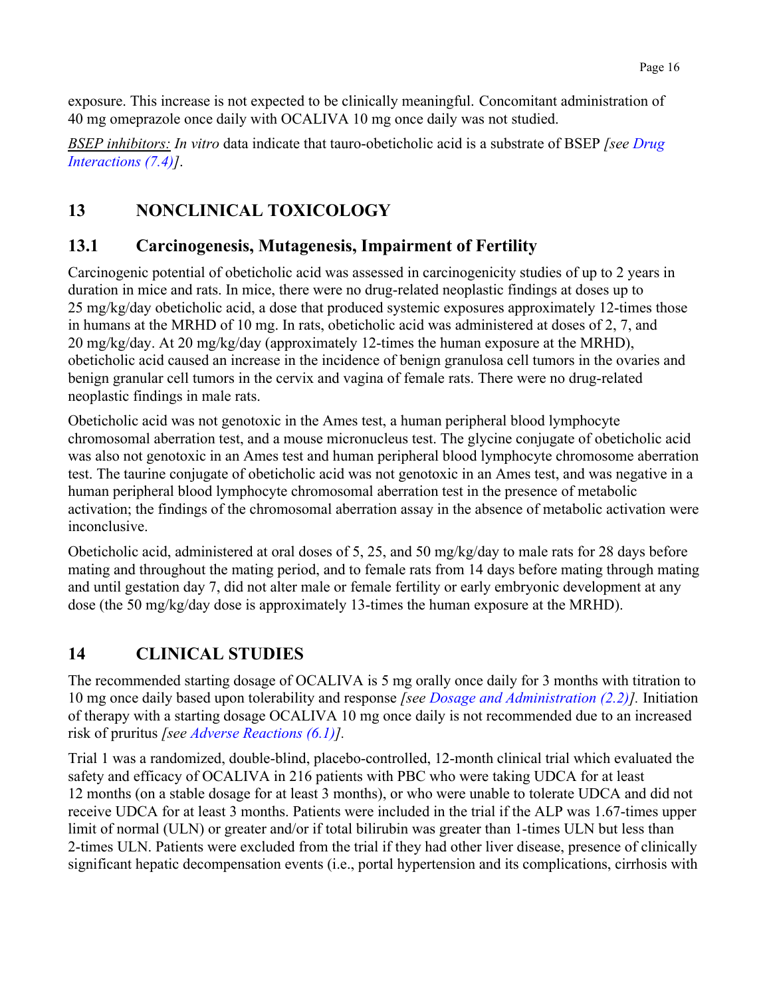exposure. This increase is not expected to be clinically meaningful. Concomitant administration of 40 mg omeprazole once daily with OCALIVA 10 mg once daily was not studied.

*BSEP inhibitors: In vitro* data indicate that tauro-obeticholic acid is a substrate of BSEP *[see [Drug](#page-9-9) [Interactions \(7.4\)\]](#page-9-9)*.

# <span id="page-15-3"></span><span id="page-15-0"></span>**13 NONCLINICAL TOXICOLOGY**

## <span id="page-15-1"></span>**13.1 Carcinogenesis, Mutagenesis, Impairment of Fertility**

Carcinogenic potential of obeticholic acid was assessed in carcinogenicity studies of up to 2 years in duration in mice and rats. In mice, there were no drug-related neoplastic findings at doses up to 25 mg/kg/day obeticholic acid, a dose that produced systemic exposures approximately 12-times those in humans at the MRHD of 10 mg. In rats, obeticholic acid was administered at doses of 2, 7, and 20 mg/kg/day. At 20 mg/kg/day (approximately 12-times the human exposure at the MRHD), obeticholic acid caused an increase in the incidence of benign granulosa cell tumors in the ovaries and benign granular cell tumors in the cervix and vagina of female rats. There were no drug-related neoplastic findings in male rats.

Obeticholic acid was not genotoxic in the Ames test, a human peripheral blood lymphocyte chromosomal aberration test, and a mouse micronucleus test. The glycine conjugate of obeticholic acid was also not genotoxic in an Ames test and human peripheral blood lymphocyte chromosome aberration test. The taurine conjugate of obeticholic acid was not genotoxic in an Ames test, and was negative in a human peripheral blood lymphocyte chromosomal aberration test in the presence of metabolic activation; the findings of the chromosomal aberration assay in the absence of metabolic activation were inconclusive.

Obeticholic acid, administered at oral doses of 5, 25, and 50 mg/kg/day to male rats for 28 days before mating and throughout the mating period, and to female rats from 14 days before mating through mating and until gestation day 7, did not alter male or female fertility or early embryonic development at any dose (the 50 mg/kg/day dose is approximately 13-times the human exposure at the MRHD).

## <span id="page-15-2"></span>**14 CLINICAL STUDIES**

The recommended starting dosage of OCALIVA is 5 mg orally once daily for 3 months with titration to 10 mg once daily based upon tolerability and response *[see [Dosage and Administration \(2.2\)](#page-3-8)].* Initiation of therapy with a starting dosage OCALIVA 10 mg once daily is not recommended due to an increased risk of pruritus *[see [Adverse Reactions \(6.1](#page-6-5))].*

Trial 1 was a randomized, double-blind, placebo-controlled, 12-month clinical trial which evaluated the safety and efficacy of OCALIVA in 216 patients with PBC who were taking UDCA for at least 12 months (on a stable dosage for at least 3 months), or who were unable to tolerate UDCA and did not receive UDCA for at least 3 months. Patients were included in the trial if the ALP was 1.67-times upper limit of normal (ULN) or greater and/or if total bilirubin was greater than 1-times ULN but less than 2-times ULN. Patients were excluded from the trial if they had other liver disease, presence of clinically significant hepatic decompensation events (i.e., portal hypertension and its complications, cirrhosis with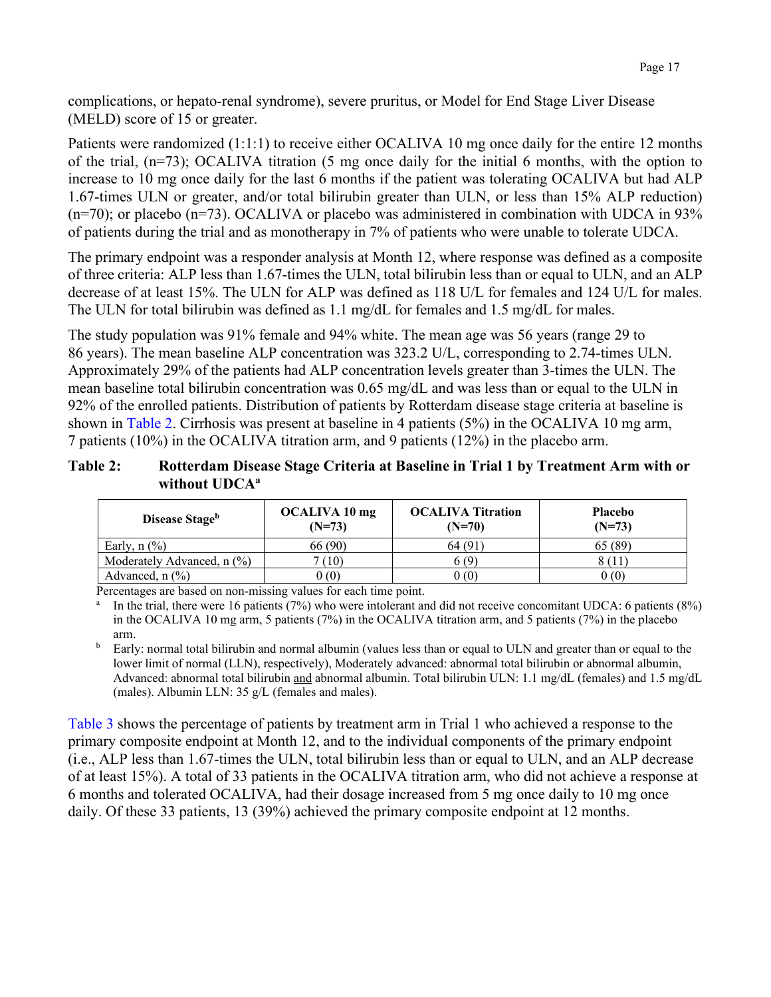complications, or hepato-renal syndrome), severe pruritus, or Model for End Stage Liver Disease (MELD) score of 15 or greater.

Patients were randomized (1:1:1) to receive either OCALIVA 10 mg once daily for the entire 12 months of the trial, (n=73); OCALIVA titration (5 mg once daily for the initial 6 months, with the option to increase to 10 mg once daily for the last 6 months if the patient was tolerating OCALIVA but had ALP 1.67-times ULN or greater, and/or total bilirubin greater than ULN, or less than 15% ALP reduction)  $(n=70)$ ; or placebo  $(n=73)$ . OCALIVA or placebo was administered in combination with UDCA in 93% of patients during the trial and as monotherapy in 7% of patients who were unable to tolerate UDCA.

The primary endpoint was a responder analysis at Month 12, where response was defined as a composite of three criteria: ALP less than 1.67-times the ULN, total bilirubin less than or equal to ULN, and an ALP decrease of at least 15%. The ULN for ALP was defined as 118 U/L for females and 124 U/L for males. The ULN for total bilirubin was defined as 1.1 mg/dL for females and 1.5 mg/dL for males.

The study population was 91% female and 94% white. The mean age was 56 years (range 29 to 86 years). The mean baseline ALP concentration was 323.2 U/L, corresponding to 2.74-times ULN. Approximately 29% of the patients had ALP concentration levels greater than 3-times the ULN. The mean baseline total bilirubin concentration was 0.65 mg/dL and was less than or equal to the ULN in 92% of the enrolled patients. Distribution of patients by Rotterdam disease stage criteria at baseline is shown in [Table](#page-16-0) 2. Cirrhosis was present at baseline in 4 patients (5%) in the OCALIVA 10 mg arm, 7 patients (10%) in the OCALIVA titration arm, and 9 patients (12%) in the placebo arm.

#### <span id="page-16-0"></span>**Table 2: Rotterdam Disease Stage Criteria at Baseline in Trial 1 by Treatment Arm with or**  without UDCA<sup>a</sup>

| Disease Stage <sup>b</sup>               | OCALIVA 10 mg<br>$(N=73)$ | <b>OCALIVA Titration</b><br>$(N=70)$ | <b>Placebo</b><br>$(N=73)$ |
|------------------------------------------|---------------------------|--------------------------------------|----------------------------|
| Early, $n$ $(\%)$                        | 66 (90)                   | 64 (91)                              | 65 (89)                    |
| Moderately Advanced, $n$ (%)             | 7(10)                     | 6(9)                                 |                            |
| Advanced, $n$ $\left(\frac{9}{6}\right)$ | (0)                       | 0(0)                                 | 0(0)                       |

Percentages are based on non-missing values for each time point.

<sup>a</sup> In the trial, there were 16 patients (7%) who were intolerant and did not receive concomitant UDCA: 6 patients (8%) in the OCALIVA 10 mg arm, 5 patients (7%) in the OCALIVA titration arm, and 5 patients (7%) in the placebo arm.

<sup>b</sup> Early: normal total bilirubin and normal albumin (values less than or equal to ULN and greater than or equal to the lower limit of normal (LLN), respectively), Moderately advanced: abnormal total bilirubin or abnormal albumin, Advanced: abnormal total bilirubin and abnormal albumin. Total bilirubin ULN: 1.1 mg/dL (females) and 1.5 mg/dL (males). Albumin LLN: 35 g/L (females and males).

[Table](#page-17-0) 3 shows the percentage of patients by treatment arm in Trial 1 who achieved a response to the primary composite endpoint at Month 12, and to the individual components of the primary endpoint (i.e., ALP less than 1.67-times the ULN, total bilirubin less than or equal to ULN, and an ALP decrease of at least 15%). A total of 33 patients in the OCALIVA titration arm, who did not achieve a response at 6 months and tolerated OCALIVA, had their dosage increased from 5 mg once daily to 10 mg once daily. Of these 33 patients, 13 (39%) achieved the primary composite endpoint at 12 months.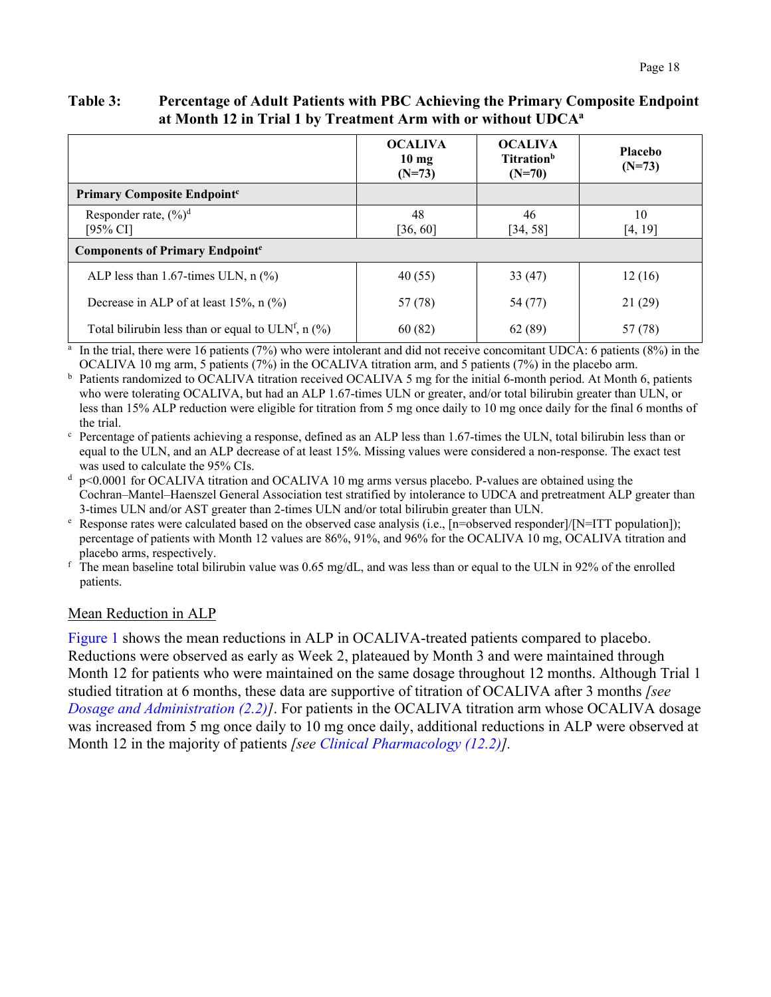#### <span id="page-17-0"></span>**Table 3: Percentage of Adult Patients with PBC Achieving the Primary Composite Endpoint at Month 12 in Trial 1 by Treatment Arm with or without UDCAa**

|                                                          | <b>OCALIVA</b><br>10 <sub>mg</sub><br>$(N=73)$ | <b>OCALIVA</b><br><b>Titration</b> <sup>b</sup><br>$(N=70)$ | <b>Placebo</b><br>$(N=73)$ |  |  |  |
|----------------------------------------------------------|------------------------------------------------|-------------------------------------------------------------|----------------------------|--|--|--|
| <b>Primary Composite Endpoint<sup>c</sup></b>            |                                                |                                                             |                            |  |  |  |
| Responder rate, $(\frac{6}{6})^d$<br>$[95\% \text{ CI}]$ | 48<br>[36, 60]                                 | 46<br>[34, 58]                                              | 10<br>[4, 19]              |  |  |  |
| <b>Components of Primary Endpointe</b>                   |                                                |                                                             |                            |  |  |  |
| ALP less than 1.67-times ULN, $n$ (%)                    | 40(55)                                         | 33(47)                                                      | 12(16)                     |  |  |  |
| Decrease in ALP of at least 15%, $n$ (%)                 | 57 (78)                                        | 54 (77)                                                     | 21(29)                     |  |  |  |
| Total bilirubin less than or equal to ULNf, n $(\%)$     | 60(82)                                         | 62(89)                                                      | 57 (78)                    |  |  |  |

 $^{\rm a}$  In the trial, there were 16 patients (7%) who were intolerant and did not receive concomitant UDCA: 6 patients (8%) in the OCALIVA 10 mg arm, 5 patients (7%) in the OCALIVA titration arm, and 5 patients (7%) in the placebo arm.

<sup>b</sup> Patients randomized to OCALIVA titration received OCALIVA 5 mg for the initial 6-month period. At Month 6, patients who were tolerating OCALIVA, but had an ALP 1.67-times ULN or greater, and/or total bilirubin greater than ULN, or less than 15% ALP reduction were eligible for titration from 5 mg once daily to 10 mg once daily for the final 6 months of the trial.

 $\degree$  Percentage of patients achieving a response, defined as an ALP less than 1.67-times the ULN, total bilirubin less than or equal to the ULN, and an ALP decrease of at least 15%. Missing values were considered a non-response. The exact test was used to calculate the 95% CIs.

 $p$ <0.0001 for OCALIVA titration and OCALIVA 10 mg arms versus placebo. P-values are obtained using the Cochran–Mantel–Haenszel General Association test stratified by intolerance to UDCA and pretreatment ALP greater than 3-times ULN and/or AST greater than 2-times ULN and/or total bilirubin greater than ULN.

<sup>e</sup> Response rates were calculated based on the observed case analysis (i.e., [n=observed responder]/[N=ITT population]); percentage of patients with Month 12 values are 86%, 91%, and 96% for the OCALIVA 10 mg, OCALIVA titration and placebo arms, respectively.

 $f$  The mean baseline total bilirubin value was 0.65 mg/dL, and was less than or equal to the ULN in 92% of the enrolled patients.

#### Mean Reduction in ALP

[Figure](#page-18-1) 1 shows the mean reductions in ALP in OCALIVA-treated patients compared to placebo. Reductions were observed as early as Week 2, plateaued by Month 3 and were maintained through Month 12 for patients who were maintained on the same dosage throughout 12 months. Although Trial 1 studied titration at 6 months, these data are supportive of titration of OCALIVA after 3 months *[see [Dosage and Administration](#page-3-8) (2.2)]*. For patients in the OCALIVA titration arm whose OCALIVA dosage was increased from 5 mg once daily to 10 mg once daily, additional reductions in ALP were observed at Month 12 in the majority of patients *[see [Clinical Pharmacology](#page-12-4) (12.2)].*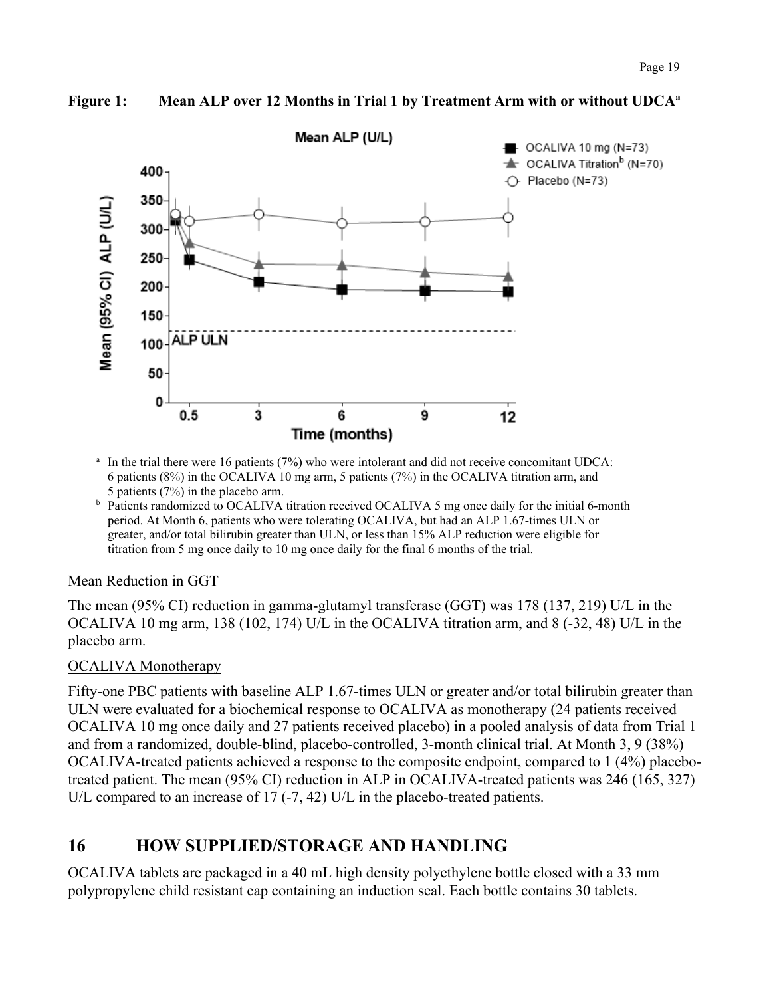

#### <span id="page-18-1"></span>**Figure 1: Mean ALP over 12 Months in Trial 1 by Treatment Arm with or without UDCAa**

- <sup>a</sup> In the trial there were 16 patients (7%) who were intolerant and did not receive concomitant UDCA: 6 patients (8%) in the OCALIVA 10 mg arm, 5 patients (7%) in the OCALIVA titration arm, and 5 patients (7%) in the placebo arm.
- b Patients randomized to OCALIVA titration received OCALIVA 5 mg once daily for the initial 6-month period. At Month 6, patients who were tolerating OCALIVA, but had an ALP 1.67-times ULN or greater, and/or total bilirubin greater than ULN, or less than 15% ALP reduction were eligible for titration from 5 mg once daily to 10 mg once daily for the final 6 months of the trial.

#### Mean Reduction in GGT

The mean (95% CI) reduction in gamma-glutamyl transferase (GGT) was 178 (137, 219) U/L in the OCALIVA 10 mg arm, 138 (102, 174) U/L in the OCALIVA titration arm, and 8 (-32, 48) U/L in the placebo arm.

#### OCALIVA Monotherapy

Fifty-one PBC patients with baseline ALP 1.67-times ULN or greater and/or total bilirubin greater than ULN were evaluated for a biochemical response to OCALIVA as monotherapy (24 patients received OCALIVA 10 mg once daily and 27 patients received placebo) in a pooled analysis of data from Trial 1 and from a randomized, double-blind, placebo-controlled, 3-month clinical trial. At Month 3, 9 (38%) OCALIVA-treated patients achieved a response to the composite endpoint, compared to 1 (4%) placebotreated patient. The mean (95% CI) reduction in ALP in OCALIVA-treated patients was 246 (165, 327) U/L compared to an increase of 17 (-7, 42) U/L in the placebo-treated patients.

## <span id="page-18-0"></span>**16 HOW SUPPLIED/STORAGE AND HANDLING**

OCALIVA tablets are packaged in a 40 mL high density polyethylene bottle closed with a 33 mm polypropylene child resistant cap containing an induction seal. Each bottle contains 30 tablets.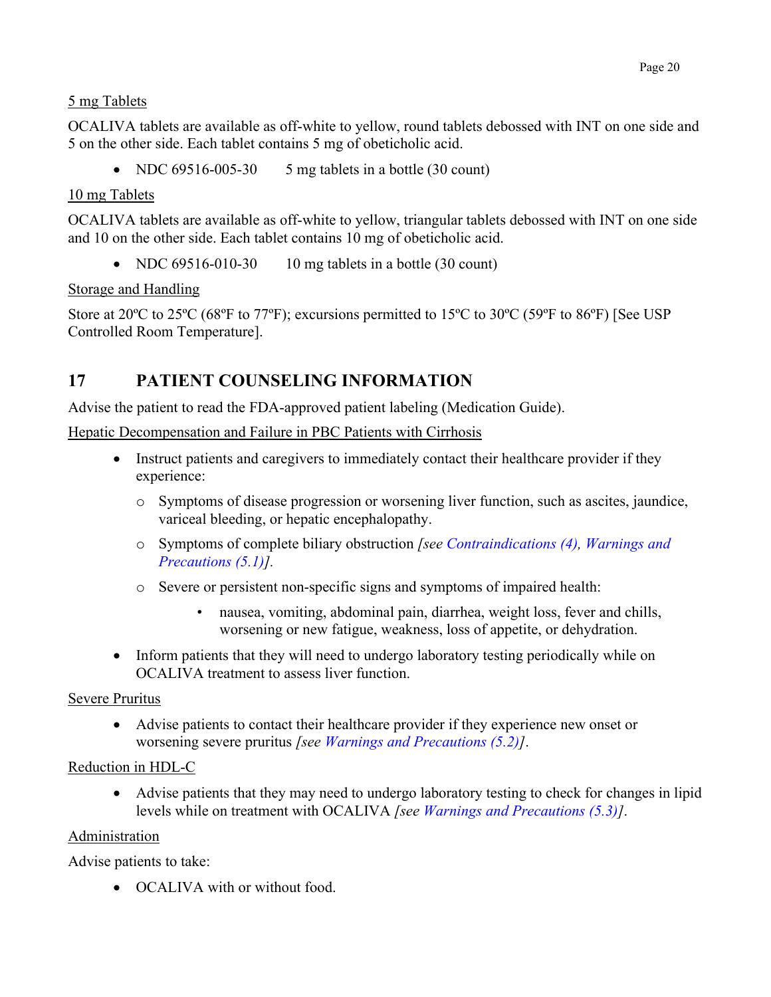#### 5 mg Tablets

OCALIVA tablets are available as off-white to yellow, round tablets debossed with INT on one side and 5 on the other side. Each tablet contains 5 mg of obeticholic acid.

• NDC  $69516-005-30$  5 mg tablets in a bottle  $(30 \text{ count})$ 

#### 10 mg Tablets

OCALIVA tablets are available as off-white to yellow, triangular tablets debossed with INT on one side and 10 on the other side. Each tablet contains 10 mg of obeticholic acid.

• NDC  $69516-010-30$  10 mg tablets in a bottle (30 count)

#### Storage and Handling

Store at 20°C to 25°C (68°F to 77°F); excursions permitted to 15°C to 30°C (59°F to 86°F) [See USP Controlled Room Temperature].

### <span id="page-19-1"></span><span id="page-19-0"></span>**17 PATIENT COUNSELING INFORMATION**

Advise the patient to read the FDA-approved patient labeling (Medication Guide).

Hepatic Decompensation and Failure in PBC Patients with Cirrhosis

- Instruct patients and caregivers to immediately contact their healthcare provider if they experience:
	- o Symptoms of disease progression or worsening liver function, such as ascites, jaundice, variceal bleeding, or hepatic encephalopathy.
	- o Symptoms of complete biliary obstruction *[see [Contraindications \(4\), Warnings and](#page-4-8)  [Precautions \(5.1\)\].](#page-4-8)*
	- o Severe or persistent non-specific signs and symptoms of impaired health:
		- nausea, vomiting, abdominal pain, diarrhea, weight loss, fever and chills, worsening or new fatigue, weakness, loss of appetite, or dehydration.
- Inform patients that they will need to undergo laboratory testing periodically while on OCALIVA treatment to assess liver function.

#### Severe Pruritus

• Advise patients to contact their healthcare provider if they experience new onset or worsening severe pruritus *[see [Warnings and Precautions \(5.2\)\]](#page-5-2)*.

#### Reduction in HDL-C

• Advise patients that they may need to undergo laboratory testing to check for changes in lipid levels while on treatment with OCALIVA *[see [Warnings and Precautions \(5.3\)](#page-6-6)]*.

#### Administration

Advise patients to take:

• OCALIVA with or without food.